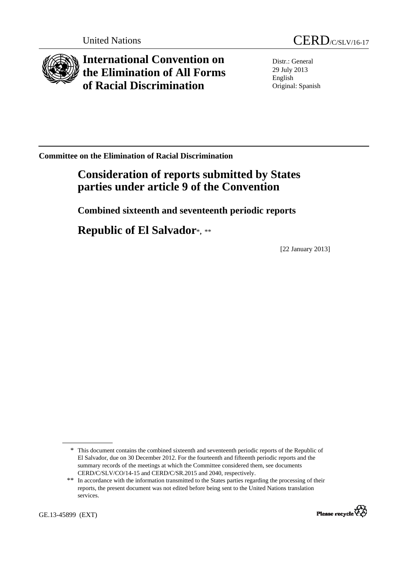

**International Convention on the Elimination of All Forms of Racial Discrimination** 

Distr.: General 29 July 2013 English Original: Spanish

**Committee on the Elimination of Racial Discrimination** 

# **Consideration of reports submitted by States parties under article 9 of the Convention**

 **Combined sixteenth and seventeenth periodic reports** 

 **Republic of El Salvador**\***,** \*\*

[22 January 2013]

<sup>\*\*</sup> In accordance with the information transmitted to the States parties regarding the processing of their reports, the present document was not edited before being sent to the United Nations translation services.



<sup>\*</sup> This document contains the combined sixteenth and seventeenth periodic reports of the Republic of El Salvador, due on 30 December 2012. For the fourteenth and fifteenth periodic reports and the summary records of the meetings at which the Committee considered them, see documents CERD/C/SLV/CO/14-15 and CERD/C/SR.2015 and 2040, respectively.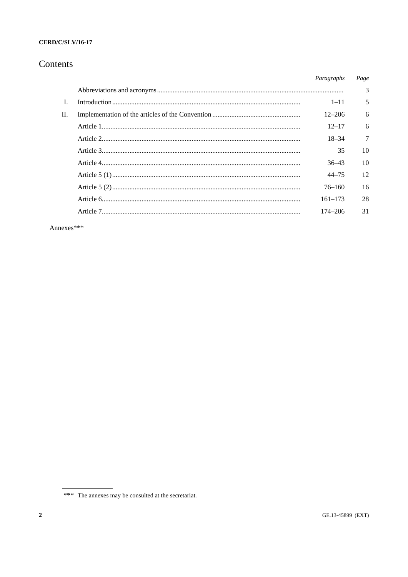#### **CERD/C/SLV/16-17**

# Contents

|     | Paragraphs  | Page |
|-----|-------------|------|
|     |             | 3    |
|     | $1 - 11$    | 5    |
| II. | $12 - 206$  | 6    |
|     | $12 - 17$   | 6    |
|     | $18 - 34$   | 7    |
|     | 35          | 10   |
|     | $36 - 43$   | 10   |
|     | $44 - 75$   | 12   |
|     | $76 - 160$  | 16   |
|     | $161 - 173$ | 28   |
|     | $174 - 206$ | 31   |
|     |             |      |

Annexes\*\*\*

<sup>\*\*\*</sup> The annexes may be consulted at the secretariat.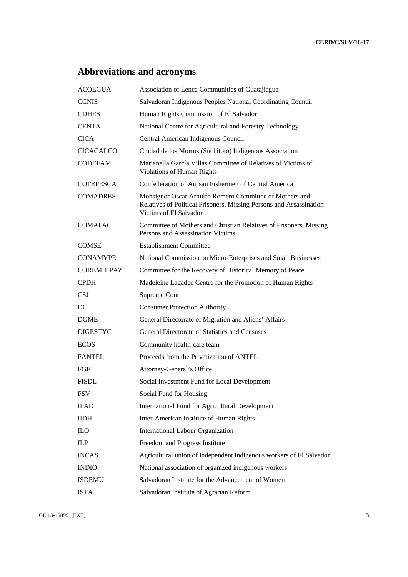# **Abbreviations and acronyms**

| <b>ACOLGUA</b>    | Association of Lenca Communities of Guatajiagua                                                                                                          |
|-------------------|----------------------------------------------------------------------------------------------------------------------------------------------------------|
| <b>CCNIS</b>      | Salvadoran Indigenous Peoples National Coordinating Council                                                                                              |
| <b>CDHES</b>      | Human Rights Commission of El Salvador                                                                                                                   |
| <b>CENTA</b>      | National Centre for Agricultural and Forestry Technology                                                                                                 |
| <b>CICA</b>       | Central American Indigenous Council                                                                                                                      |
| <b>CICACALCO</b>  | Ciudad de los Morros (Suchitoto) Indigenous Association                                                                                                  |
| <b>CODEFAM</b>    | Marianella García Villas Committee of Relatives of Victims of<br><b>Violations of Human Rights</b>                                                       |
| <b>COFEPESCA</b>  | Confederation of Artisan Fishermen of Central America                                                                                                    |
| <b>COMADRES</b>   | Monsignor Oscar Arnulfo Romero Committee of Mothers and<br>Relatives of Political Prisoners, Missing Persons and Assassination<br>Victims of El Salvador |
| <b>COMAFAC</b>    | Committee of Mothers and Christian Relatives of Prisoners, Missing<br>Persons and Assassination Victims                                                  |
| <b>COMSE</b>      | <b>Establishment Committee</b>                                                                                                                           |
| <b>CONAMYPE</b>   | National Commission on Micro-Enterprises and Small Businesses                                                                                            |
| <b>COREMHIPAZ</b> | Committee for the Recovery of Historical Memory of Peace                                                                                                 |
| <b>CPDH</b>       | Madeleine Lagadec Centre for the Promotion of Human Rights                                                                                               |
| CSJ               | Supreme Court                                                                                                                                            |
| DC                | <b>Consumer Protection Authority</b>                                                                                                                     |
| <b>DGME</b>       | General Directorate of Migration and Aliens' Affairs                                                                                                     |
| <b>DIGESTYC</b>   | General Directorate of Statistics and Censuses                                                                                                           |
| <b>ECOS</b>       | Community health-care team                                                                                                                               |
| <b>FANTEL</b>     | Proceeds from the Privatization of ANTEL                                                                                                                 |
| <b>FGR</b>        | Attorney-General's Office                                                                                                                                |
| FISDL             | Social Investment Fund for Local Development                                                                                                             |
| <b>FSV</b>        | Social Fund for Housing                                                                                                                                  |
| <b>IFAD</b>       | International Fund for Agricultural Development                                                                                                          |
| <b>IIDH</b>       | Inter-American Institute of Human Rights                                                                                                                 |
| <b>ILO</b>        | International Labour Organization                                                                                                                        |
| ILP               | Freedom and Progress Institute                                                                                                                           |
| <b>INCAS</b>      | Agricultural union of independent indigenous workers of El Salvador                                                                                      |
| <b>INDIO</b>      | National association of organized indigenous workers                                                                                                     |
| <b>ISDEMU</b>     | Salvadoran Institute for the Advancement of Women                                                                                                        |
| <b>ISTA</b>       | Salvadoran Institute of Agrarian Reform                                                                                                                  |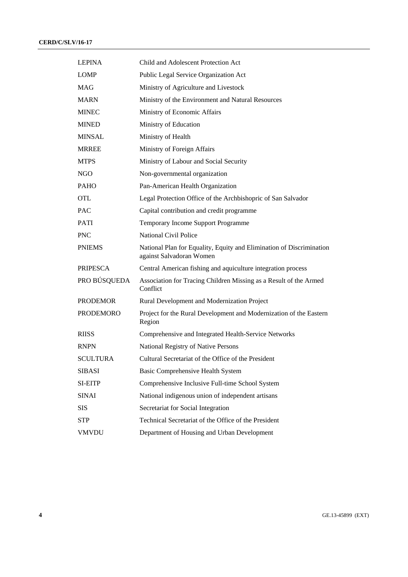| <b>LEPINA</b>    | Child and Adolescent Protection Act                                                              |
|------------------|--------------------------------------------------------------------------------------------------|
| <b>LOMP</b>      | Public Legal Service Organization Act                                                            |
| MAG              | Ministry of Agriculture and Livestock                                                            |
| <b>MARN</b>      | Ministry of the Environment and Natural Resources                                                |
| <b>MINEC</b>     | Ministry of Economic Affairs                                                                     |
| <b>MINED</b>     | Ministry of Education                                                                            |
| <b>MINSAL</b>    | Ministry of Health                                                                               |
| <b>MRREE</b>     | Ministry of Foreign Affairs                                                                      |
| <b>MTPS</b>      | Ministry of Labour and Social Security                                                           |
| NGO              | Non-governmental organization                                                                    |
| <b>PAHO</b>      | Pan-American Health Organization                                                                 |
| <b>OTL</b>       | Legal Protection Office of the Archbishopric of San Salvador                                     |
| <b>PAC</b>       | Capital contribution and credit programme                                                        |
| <b>PATI</b>      | Temporary Income Support Programme                                                               |
| <b>PNC</b>       | <b>National Civil Police</b>                                                                     |
| <b>PNIEMS</b>    | National Plan for Equality, Equity and Elimination of Discrimination<br>against Salvadoran Women |
| <b>PRIPESCA</b>  | Central American fishing and aquiculture integration process                                     |
| PRO BÚSQUEDA     | Association for Tracing Children Missing as a Result of the Armed<br>Conflict                    |
| <b>PRODEMOR</b>  | Rural Development and Modernization Project                                                      |
| <b>PRODEMORO</b> | Project for the Rural Development and Modernization of the Eastern<br>Region                     |
| <b>RIISS</b>     | Comprehensive and Integrated Health-Service Networks                                             |
| <b>RNPN</b>      | National Registry of Native Persons                                                              |
| <b>SCULTURA</b>  | Cultural Secretariat of the Office of the President                                              |
| <b>SIBASI</b>    | Basic Comprehensive Health System                                                                |
| <b>SI-EITP</b>   | Comprehensive Inclusive Full-time School System                                                  |
| <b>SINAI</b>     | National indigenous union of independent artisans                                                |
| SIS              | Secretariat for Social Integration                                                               |
| <b>STP</b>       | Technical Secretariat of the Office of the President                                             |
| <b>VMVDU</b>     | Department of Housing and Urban Development                                                      |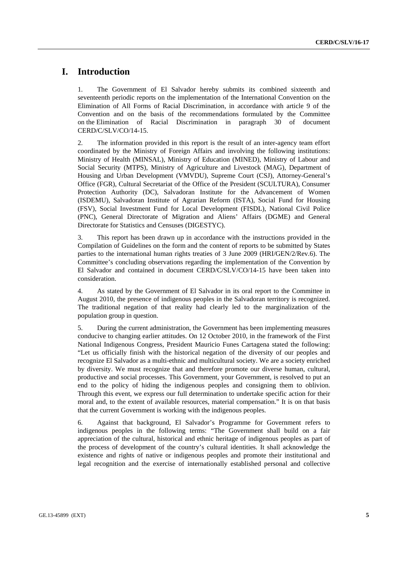# **I. Introduction**

1. The Government of El Salvador hereby submits its combined sixteenth and seventeenth periodic reports on the implementation of the International Convention on the Elimination of All Forms of Racial Discrimination, in accordance with article 9 of the Convention and on the basis of the recommendations formulated by the Committee on the Elimination of Racial Discrimination in paragraph 30 of document CERD/C/SLV/CO/14-15.

2. The information provided in this report is the result of an inter-agency team effort coordinated by the Ministry of Foreign Affairs and involving the following institutions: Ministry of Health (MINSAL), Ministry of Education (MINED), Ministry of Labour and Social Security (MTPS), Ministry of Agriculture and Livestock (MAG), Department of Housing and Urban Development (VMVDU), Supreme Court (CSJ), Attorney-General's Office (FGR), Cultural Secretariat of the Office of the President (SCULTURA), Consumer Protection Authority (DC), Salvadoran Institute for the Advancement of Women (ISDEMU), Salvadoran Institute of Agrarian Reform (ISTA), Social Fund for Housing (FSV), Social Investment Fund for Local Development (FISDL), National Civil Police (PNC), General Directorate of Migration and Aliens' Affairs (DGME) and General Directorate for Statistics and Censuses (DIGESTYC).

3. This report has been drawn up in accordance with the instructions provided in the Compilation of Guidelines on the form and the content of reports to be submitted by States parties to the international human rights treaties of 3 June 2009 (HRI/GEN/2/Rev.6). The Committee's concluding observations regarding the implementation of the Convention by El Salvador and contained in document CERD/C/SLV/CO/14-15 have been taken into consideration.

4. As stated by the Government of El Salvador in its oral report to the Committee in August 2010, the presence of indigenous peoples in the Salvadoran territory is recognized. The traditional negation of that reality had clearly led to the marginalization of the population group in question.

5. During the current administration, the Government has been implementing measures conducive to changing earlier attitudes. On 12 October 2010, in the framework of the First National Indigenous Congress, President Mauricio Funes Cartagena stated the following: "Let us officially finish with the historical negation of the diversity of our peoples and recognize El Salvador as a multi-ethnic and multicultural society. We are a society enriched by diversity. We must recognize that and therefore promote our diverse human, cultural, productive and social processes. This Government, your Government, is resolved to put an end to the policy of hiding the indigenous peoples and consigning them to oblivion. Through this event, we express our full determination to undertake specific action for their moral and, to the extent of available resources, material compensation." It is on that basis that the current Government is working with the indigenous peoples.

6. Against that background, El Salvador's Programme for Government refers to indigenous peoples in the following terms: "The Government shall build on a fair appreciation of the cultural, historical and ethnic heritage of indigenous peoples as part of the process of development of the country's cultural identities. It shall acknowledge the existence and rights of native or indigenous peoples and promote their institutional and legal recognition and the exercise of internationally established personal and collective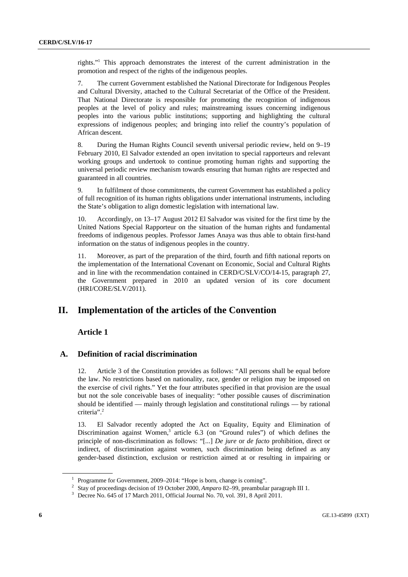rights."1 This approach demonstrates the interest of the current administration in the promotion and respect of the rights of the indigenous peoples.

7. The current Government established the National Directorate for Indigenous Peoples and Cultural Diversity, attached to the Cultural Secretariat of the Office of the President. That National Directorate is responsible for promoting the recognition of indigenous peoples at the level of policy and rules; mainstreaming issues concerning indigenous peoples into the various public institutions; supporting and highlighting the cultural expressions of indigenous peoples; and bringing into relief the country's population of African descent.

8. During the Human Rights Council seventh universal periodic review, held on 9–19 February 2010, El Salvador extended an open invitation to special rapporteurs and relevant working groups and undertook to continue promoting human rights and supporting the universal periodic review mechanism towards ensuring that human rights are respected and guaranteed in all countries.

9. In fulfilment of those commitments, the current Government has established a policy of full recognition of its human rights obligations under international instruments, including the State's obligation to align domestic legislation with international law.

10. Accordingly, on 13–17 August 2012 El Salvador was visited for the first time by the United Nations Special Rapporteur on the situation of the human rights and fundamental freedoms of indigenous peoples. Professor James Anaya was thus able to obtain first-hand information on the status of indigenous peoples in the country.

11. Moreover, as part of the preparation of the third, fourth and fifth national reports on the implementation of the International Covenant on Economic, Social and Cultural Rights and in line with the recommendation contained in CERD/C/SLV/CO/14-15, paragraph 27, the Government prepared in 2010 an updated version of its core document (HRI/CORE/SLV/2011).

## **II. Implementation of the articles of the Convention**

#### **Article 1**

#### **A. Definition of racial discrimination**

12. Article 3 of the Constitution provides as follows: "All persons shall be equal before the law. No restrictions based on nationality, race, gender or religion may be imposed on the exercise of civil rights." Yet the four attributes specified in that provision are the usual but not the sole conceivable bases of inequality: "other possible causes of discrimination should be identified — mainly through legislation and constitutional rulings — by rational criteria".2

13. El Salvador recently adopted the Act on Equality, Equity and Elimination of Discrimination against Women,<sup>3</sup> article 6.3 (on "Ground rules") of which defines the principle of non-discrimination as follows: "[...] *De jure* or *de facto* prohibition, direct or indirect, of discrimination against women, such discrimination being defined as any gender-based distinction, exclusion or restriction aimed at or resulting in impairing or

<sup>&</sup>lt;sup>1</sup> Programme for Government, 2009–2014: "Hope is born, change is coming".<br><sup>2</sup> Stay of proceedings decision of 10 Ostober 2000, Amnane 82, 00 programbule

<sup>&</sup>lt;sup>2</sup> Stay of proceedings decision of 19 October 2000, *Amparo* 82–99, preambular paragraph III 1.

<sup>&</sup>lt;sup>3</sup> Decree No. 645 of 17 March 2011, Official Journal No. 70, vol. 391, 8 April 2011.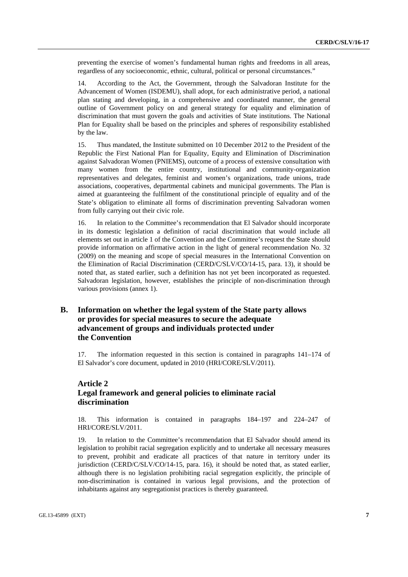preventing the exercise of women's fundamental human rights and freedoms in all areas, regardless of any socioeconomic, ethnic, cultural, political or personal circumstances."

14. According to the Act, the Government, through the Salvadoran Institute for the Advancement of Women (ISDEMU), shall adopt, for each administrative period, a national plan stating and developing, in a comprehensive and coordinated manner, the general outline of Government policy on and general strategy for equality and elimination of discrimination that must govern the goals and activities of State institutions. The National Plan for Equality shall be based on the principles and spheres of responsibility established by the law.

15. Thus mandated, the Institute submitted on 10 December 2012 to the President of the Republic the First National Plan for Equality, Equity and Elimination of Discrimination against Salvadoran Women (PNIEMS), outcome of a process of extensive consultation with many women from the entire country, institutional and community-organization representatives and delegates, feminist and women's organizations, trade unions, trade associations, cooperatives, departmental cabinets and municipal governments. The Plan is aimed at guaranteeing the fulfilment of the constitutional principle of equality and of the State's obligation to eliminate all forms of discrimination preventing Salvadoran women from fully carrying out their civic role.

16. In relation to the Committee's recommendation that El Salvador should incorporate in its domestic legislation a definition of racial discrimination that would include all elements set out in article 1 of the Convention and the Committee's request the State should provide information on affirmative action in the light of general recommendation No. 32 (2009) on the meaning and scope of special measures in the International Convention on the Elimination of Racial Discrimination (CERD/C/SLV/CO/14-15, para. 13), it should be noted that, as stated earlier, such a definition has not yet been incorporated as requested. Salvadoran legislation, however, establishes the principle of non-discrimination through various provisions (annex 1).

## **B. Information on whether the legal system of the State party allows or provides for special measures to secure the adequate advancement of groups and individuals protected under the Convention**

17. The information requested in this section is contained in paragraphs 141–174 of El Salvador's core document, updated in 2010 (HRI/CORE/SLV/2011).

### **Article 2 Legal framework and general policies to eliminate racial discrimination**

18. This information is contained in paragraphs 184–197 and 224–247 of HRI/CORE/SLV/2011.

19. In relation to the Committee's recommendation that El Salvador should amend its legislation to prohibit racial segregation explicitly and to undertake all necessary measures to prevent, prohibit and eradicate all practices of that nature in territory under its jurisdiction (CERD/C/SLV/CO/14-15, para. 16), it should be noted that, as stated earlier, although there is no legislation prohibiting racial segregation explicitly, the principle of non-discrimination is contained in various legal provisions, and the protection of inhabitants against any segregationist practices is thereby guaranteed.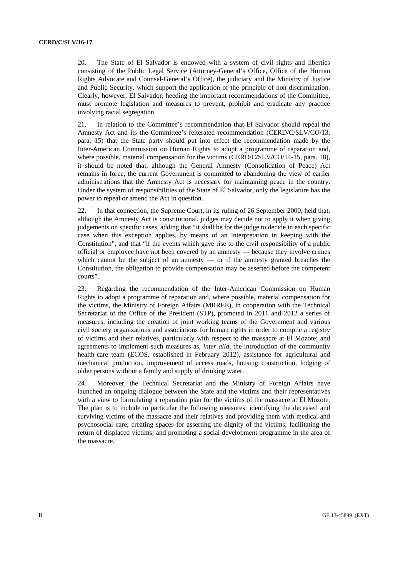20. The State of El Salvador is endowed with a system of civil rights and liberties consisting of the Public Legal Service (Attorney-General's Office, Office of the Human Rights Advocate and Counsel-General's Office), the judiciary and the Ministry of Justice and Public Security, which support the application of the principle of non-discrimination. Clearly, however, El Salvador, heeding the important recommendations of the Committee, must promote legislation and measures to prevent, prohibit and eradicate any practice involving racial segregation.

21. In relation to the Committee's recommendation that El Salvador should repeal the Amnesty Act and its the Committee's reiterated recommendation (CERD/C/SLV/CO/13, para. 15) that the State party should put into effect the recommendation made by the Inter-American Commission on Human Rights to adopt a programme of reparation and, where possible, material compensation for the victims (CERD/C/SLV/CO/14-15, para. 18), it should be noted that, although the General Amnesty (Consolidation of Peace) Act remains in force, the current Government is committed to abandoning the view of earlier administrations that the Amnesty Act is necessary for maintaining peace in the country. Under the system of responsibilities of the State of El Salvador, only the legislature has the power to repeal or amend the Act in question.

22. In that connection, the Supreme Court, in its ruling of 26 September 2000, held that, although the Amnesty Act is constitutional, judges may decide not to apply it when giving judgements on specific cases, adding that "it shall be for the judge to decide in each specific case when this exception applies, by means of an interpretation in keeping with the Constitution", and that "if the events which gave rise to the civil responsibility of a public official or employee have not been covered by an amnesty — because they involve crimes which cannot be the subject of an amnesty  $-$  or if the amnesty granted breaches the Constitution, the obligation to provide compensation may be asserted before the competent courts".

23. Regarding the recommendation of the Inter-American Commission on Human Rights to adopt a programme of reparation and, where possible, material compensation for the victims, the Ministry of Foreign Affairs (MRREE), in cooperation with the Technical Secretariat of the Office of the President (STP), promoted in 2011 and 2012 a series of measures, including the creation of joint working teams of the Government and various civil society organizations and associations for human rights in order to compile a registry of victims and their relatives, particularly with respect to the massacre at El Mozote; and agreements to implement such measures as, *inter alia*, the introduction of the community health-care team (ECOS, established in February 2012), assistance for agricultural and mechanical production, improvement of access roads, housing construction, lodging of older persons without a family and supply of drinking water.

24. Moreover, the Technical Secretariat and the Ministry of Foreign Affairs have launched an ongoing dialogue between the State and the victims and their representatives with a view to formulating a reparation plan for the victims of the massacre at El Mozote. The plan is to include in particular the following measures: identifying the deceased and surviving victims of the massacre and their relatives and providing them with medical and psychosocial care; creating spaces for asserting the dignity of the victims; facilitating the return of displaced victims; and promoting a social development programme in the area of the massacre.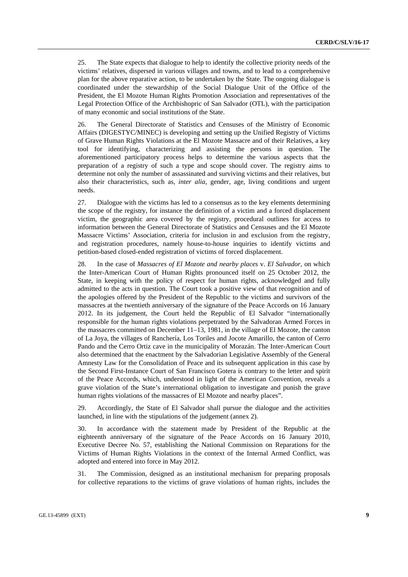25. The State expects that dialogue to help to identify the collective priority needs of the victims' relatives, dispersed in various villages and towns, and to lead to a comprehensive plan for the above reparative action, to be undertaken by the State. The ongoing dialogue is coordinated under the stewardship of the Social Dialogue Unit of the Office of the President, the El Mozote Human Rights Promotion Association and representatives of the Legal Protection Office of the Archbishopric of San Salvador (OTL), with the participation of many economic and social institutions of the State.

26. The General Directorate of Statistics and Censuses of the Ministry of Economic Affairs (DIGESTYC/MINEC) is developing and setting up the Unified Registry of Victims of Grave Human Rights Violations at the El Mozote Massacre and of their Relatives, a key tool for identifying, characterizing and assisting the persons in question. The aforementioned participatory process helps to determine the various aspects that the preparation of a registry of such a type and scope should cover. The registry aims to determine not only the number of assassinated and surviving victims and their relatives, but also their characteristics, such as, *inter alia*, gender, age, living conditions and urgent needs.

27. Dialogue with the victims has led to a consensus as to the key elements determining the scope of the registry, for instance the definition of a victim and a forced displacement victim, the geographic area covered by the registry, procedural outlines for access to information between the General Directorate of Statistics and Censuses and the El Mozote Massacre Victims' Association, criteria for inclusion in and exclusion from the registry, and registration procedures, namely house-to-house inquiries to identify victims and petition-based closed-ended registration of victims of forced displacement.

28. In the case of *Massacres of El Mozote and nearby places* v. *El Salvador*, on which the Inter-American Court of Human Rights pronounced itself on 25 October 2012, the State, in keeping with the policy of respect for human rights, acknowledged and fully admitted to the acts in question. The Court took a positive view of that recognition and of the apologies offered by the President of the Republic to the victims and survivors of the massacres at the twentieth anniversary of the signature of the Peace Accords on 16 January 2012. In its judgement, the Court held the Republic of El Salvador "internationally responsible for the human rights violations perpetrated by the Salvadoran Armed Forces in the massacres committed on December 11–13, 1981, in the village of El Mozote, the canton of La Joya, the villages of Ranchería, Los Toriles and Jocote Amarillo, the canton of Cerro Pando and the Cerro Ortiz cave in the municipality of Morazán. The Inter-American Court also determined that the enactment by the Salvadorian Legislative Assembly of the General Amnesty Law for the Consolidation of Peace and its subsequent application in this case by the Second First-Instance Court of San Francisco Gotera is contrary to the letter and spirit of the Peace Accords, which, understood in light of the American Convention, reveals a grave violation of the State's international obligation to investigate and punish the grave human rights violations of the massacres of El Mozote and nearby places".

29. Accordingly, the State of El Salvador shall pursue the dialogue and the activities launched, in line with the stipulations of the judgement (annex 2).

30. In accordance with the statement made by President of the Republic at the eighteenth anniversary of the signature of the Peace Accords on 16 January 2010, Executive Decree No. 57, establishing the National Commission on Reparations for the Victims of Human Rights Violations in the context of the Internal Armed Conflict, was adopted and entered into force in May 2012.

31. The Commission, designed as an institutional mechanism for preparing proposals for collective reparations to the victims of grave violations of human rights, includes the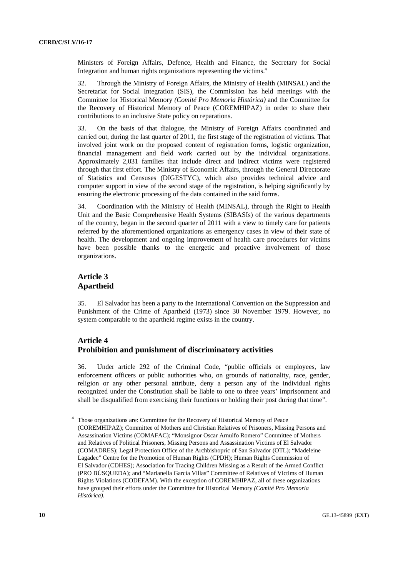Ministers of Foreign Affairs, Defence, Health and Finance, the Secretary for Social Integration and human rights organizations representing the victims.4

32. Through the Ministry of Foreign Affairs, the Ministry of Health (MINSAL) and the Secretariat for Social Integration (SIS), the Commission has held meetings with the Committee for Historical Memory *(Comité Pro Memoria Histórica)* and the Committee for the Recovery of Historical Memory of Peace (COREMHIPAZ) in order to share their contributions to an inclusive State policy on reparations.

33. On the basis of that dialogue, the Ministry of Foreign Affairs coordinated and carried out, during the last quarter of 2011, the first stage of the registration of victims. That involved joint work on the proposed content of registration forms, logistic organization, financial management and field work carried out by the individual organizations. Approximately 2,031 families that include direct and indirect victims were registered through that first effort. The Ministry of Economic Affairs, through the General Directorate of Statistics and Censuses (DIGESTYC), which also provides technical advice and computer support in view of the second stage of the registration, is helping significantly by ensuring the electronic processing of the data contained in the said forms.

34. Coordination with the Ministry of Health (MINSAL), through the Right to Health Unit and the Basic Comprehensive Health Systems (SIBASIs) of the various departments of the country, began in the second quarter of 2011 with a view to timely care for patients referred by the aforementioned organizations as emergency cases in view of their state of health. The development and ongoing improvement of health care procedures for victims have been possible thanks to the energetic and proactive involvement of those organizations.

### **Article 3 Apartheid**

35. El Salvador has been a party to the International Convention on the Suppression and Punishment of the Crime of Apartheid (1973) since 30 November 1979. However, no system comparable to the apartheid regime exists in the country.

## **Article 4 Prohibition and punishment of discriminatory activities**

36. Under article 292 of the Criminal Code, "public officials or employees, law enforcement officers or public authorities who, on grounds of nationality, race, gender, religion or any other personal attribute, deny a person any of the individual rights recognized under the Constitution shall be liable to one to three years' imprisonment and shall be disqualified from exercising their functions or holding their post during that time".

<sup>&</sup>lt;sup>4</sup> Those organizations are: Committee for the Recovery of Historical Memory of Peace (COREMHIPAZ); Committee of Mothers and Christian Relatives of Prisoners, Missing Persons and Assassination Victims (COMAFAC); "Monsignor Oscar Arnulfo Romero" Committee of Mothers and Relatives of Political Prisoners, Missing Persons and Assassination Victims of El Salvador (COMADRES); Legal Protection Office of the Archbishopric of San Salvador (OTL); "Madeleine Lagadec" Centre for the Promotion of Human Rights (CPDH); Human Rights Commission of El Salvador (CDHES); Association for Tracing Children Missing as a Result of the Armed Conflict (PRO BÚSQUEDA); and "Marianella García Villas" Committee of Relatives of Victims of Human Rights Violations (CODEFAM). With the exception of COREMHIPAZ, all of these organizations have grouped their efforts under the Committee for Historical Memory *(Comité Pro Memoria Histórica)*.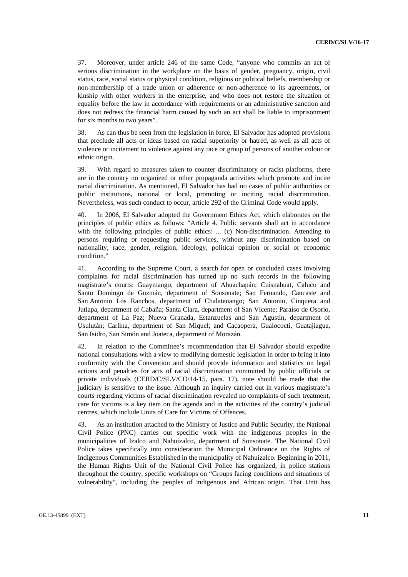37. Moreover, under article 246 of the same Code, "anyone who commits an act of serious discrimination in the workplace on the basis of gender, pregnancy, origin, civil status, race, social status or physical condition, religious or political beliefs, membership or non-membership of a trade union or adherence or non-adherence to its agreements, or kinship with other workers in the enterprise, and who does not restore the situation of equality before the law in accordance with requirements or an administrative sanction and does not redress the financial harm caused by such an act shall be liable to imprisonment for six months to two years".

38. As can thus be seen from the legislation in force, El Salvador has adopted provisions that preclude all acts or ideas based on racial superiority or hatred, as well as all acts of violence or incitement to violence against any race or group of persons of another colour or ethnic origin.

39. With regard to measures taken to counter discriminatory or racist platforms, there are in the country no organized or other propaganda activities which promote and incite racial discrimination. As mentioned, El Salvador has had no cases of public authorities or public institutions, national or local, promoting or inciting racial discrimination. Nevertheless, was such conduct to occur, article 292 of the Criminal Code would apply.

40. In 2006, El Salvador adopted the Government Ethics Act, which elaborates on the principles of public ethics as follows: "Article 4. Public servants shall act in accordance with the following principles of public ethics: ... (c) Non-discrimination. Attending to persons requiring or requesting public services, without any discrimination based on nationality, race, gender, religion, ideology, political opinion or social or economic condition."

41. According to the Supreme Court, a search for open or concluded cases involving complaints for racial discrimination has turned up no such records in the following magistrate's courts: Guaymango, department of Ahuachapán; Cuisnahuat, Caluco and Santo Domingo de Guzmán, department of Sonsonate; San Fernando, Cancaste and San Antonio Los Ranchos, department of Chalatenango; San Antonio, Cinquera and Jutiapa, department of Cabaña; Santa Clara, department of San Vicente; Paraíso de Osorio, department of La Paz; Nueva Granada, Estanzuelas and San Agustín, department of Usulután; Carlina, department of San Miquel; and Cacaopera, Gualococti, Guatajiagua, San Isidro, San Simón and Joateca, department of Morazán.

42. In relation to the Committee's recommendation that El Salvador should expedite national consultations with a view to modifying domestic legislation in order to bring it into conformity with the Convention and should provide information and statistics on legal actions and penalties for acts of racial discrimination committed by public officials or private individuals (CERD/C/SLV/CO/14-15, para. 17), note should be made that the judiciary is sensitive to the issue. Although an inquiry carried out in various magistrate's courts regarding victims of racial discrimination revealed no complaints of such treatment, care for victims is a key item on the agenda and in the activities of the country's judicial centres, which include Units of Care for Victims of Offences.

43. As an institution attached to the Ministry of Justice and Public Security, the National Civil Police (PNC) carries out specific work with the indigenous peoples in the municipalities of Izalco and Nahuizalco, department of Sonsonate. The National Civil Police takes specifically into consideration the Municipal Ordinance on the Rights of Indigenous Communities Established in the municipality of Nahuizalco. Beginning in 2011, the Human Rights Unit of the National Civil Police has organized, in police stations throughout the country, specific workshops on "Groups facing conditions and situations of vulnerability", including the peoples of indigenous and African origin. That Unit has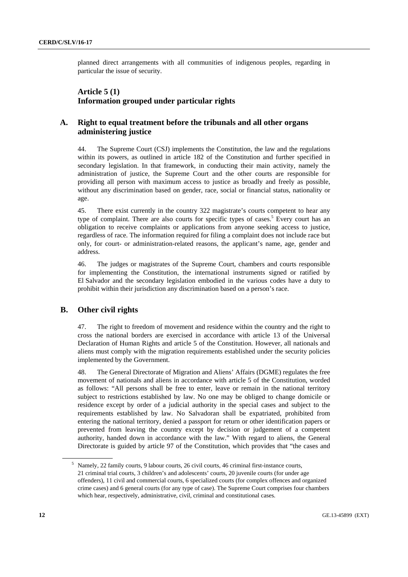planned direct arrangements with all communities of indigenous peoples, regarding in particular the issue of security.

## **Article 5 (1) Information grouped under particular rights**

### **A. Right to equal treatment before the tribunals and all other organs administering justice**

44. The Supreme Court (CSJ) implements the Constitution, the law and the regulations within its powers, as outlined in article 182 of the Constitution and further specified in secondary legislation. In that framework, in conducting their main activity, namely the administration of justice, the Supreme Court and the other courts are responsible for providing all person with maximum access to justice as broadly and freely as possible, without any discrimination based on gender, race, social or financial status, nationality or age.

45. There exist currently in the country 322 magistrate's courts competent to hear any type of complaint. There are also courts for specific types of cases.<sup>5</sup> Every court has an obligation to receive complaints or applications from anyone seeking access to justice, regardless of race. The information required for filing a complaint does not include race but only, for court- or administration-related reasons, the applicant's name, age, gender and address.

46. The judges or magistrates of the Supreme Court, chambers and courts responsible for implementing the Constitution, the international instruments signed or ratified by El Salvador and the secondary legislation embodied in the various codes have a duty to prohibit within their jurisdiction any discrimination based on a person's race.

#### **B. Other civil rights**

47. The right to freedom of movement and residence within the country and the right to cross the national borders are exercised in accordance with article 13 of the Universal Declaration of Human Rights and article 5 of the Constitution. However, all nationals and aliens must comply with the migration requirements established under the security policies implemented by the Government.

48. The General Directorate of Migration and Aliens' Affairs (DGME) regulates the free movement of nationals and aliens in accordance with article 5 of the Constitution, worded as follows: "All persons shall be free to enter, leave or remain in the national territory subject to restrictions established by law. No one may be obliged to change domicile or residence except by order of a judicial authority in the special cases and subject to the requirements established by law. No Salvadoran shall be expatriated, prohibited from entering the national territory, denied a passport for return or other identification papers or prevented from leaving the country except by decision or judgement of a competent authority, handed down in accordance with the law." With regard to aliens, the General Directorate is guided by article 97 of the Constitution, which provides that "the cases and

<sup>&</sup>lt;sup>5</sup> Namely, 22 family courts, 9 labour courts, 26 civil courts, 46 criminal first-instance courts, 21 criminal trial courts, 3 children's and adolescents' courts, 20 juvenile courts (for under age offenders), 11 civil and commercial courts, 6 specialized courts (for complex offences and organized crime cases) and 6 general courts (for any type of case). The Supreme Court comprises four chambers which hear, respectively, administrative, civil, criminal and constitutional cases.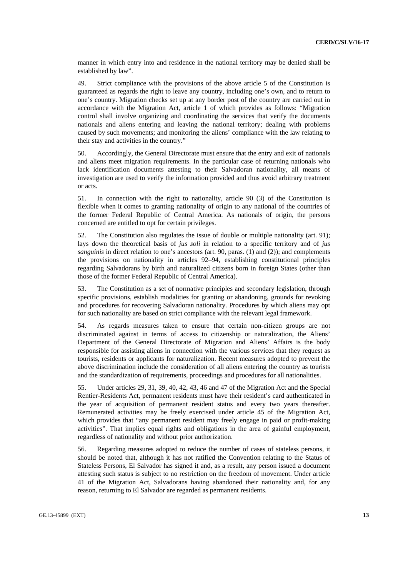manner in which entry into and residence in the national territory may be denied shall be established by law".

49. Strict compliance with the provisions of the above article 5 of the Constitution is guaranteed as regards the right to leave any country, including one's own, and to return to one's country. Migration checks set up at any border post of the country are carried out in accordance with the Migration Act, article 1 of which provides as follows: "Migration control shall involve organizing and coordinating the services that verify the documents nationals and aliens entering and leaving the national territory; dealing with problems caused by such movements; and monitoring the aliens' compliance with the law relating to their stay and activities in the country."

50. Accordingly, the General Directorate must ensure that the entry and exit of nationals and aliens meet migration requirements. In the particular case of returning nationals who lack identification documents attesting to their Salvadoran nationality, all means of investigation are used to verify the information provided and thus avoid arbitrary treatment or acts.

51. In connection with the right to nationality, article 90 (3) of the Constitution is flexible when it comes to granting nationality of origin to any national of the countries of the former Federal Republic of Central America. As nationals of origin, the persons concerned are entitled to opt for certain privileges.

52. The Constitution also regulates the issue of double or multiple nationality (art. 91); lays down the theoretical basis of *jus soli* in relation to a specific territory and of *jus sanguinis* in direct relation to one's ancestors (art. 90, paras. (1) and (2)); and complements the provisions on nationality in articles 92–94, establishing constitutional principles regarding Salvadorans by birth and naturalized citizens born in foreign States (other than those of the former Federal Republic of Central America).

53. The Constitution as a set of normative principles and secondary legislation, through specific provisions, establish modalities for granting or abandoning, grounds for revoking and procedures for recovering Salvadoran nationality. Procedures by which aliens may opt for such nationality are based on strict compliance with the relevant legal framework.

54. As regards measures taken to ensure that certain non-citizen groups are not discriminated against in terms of access to citizenship or naturalization, the Aliens' Department of the General Directorate of Migration and Aliens' Affairs is the body responsible for assisting aliens in connection with the various services that they request as tourists, residents or applicants for naturalization. Recent measures adopted to prevent the above discrimination include the consideration of all aliens entering the country as tourists and the standardization of requirements, proceedings and procedures for all nationalities.

55. Under articles 29, 31, 39, 40, 42, 43, 46 and 47 of the Migration Act and the Special Rentier-Residents Act, permanent residents must have their resident's card authenticated in the year of acquisition of permanent resident status and every two years thereafter. Remunerated activities may be freely exercised under article 45 of the Migration Act, which provides that "any permanent resident may freely engage in paid or profit-making activities". That implies equal rights and obligations in the area of gainful employment, regardless of nationality and without prior authorization.

56. Regarding measures adopted to reduce the number of cases of stateless persons, it should be noted that, although it has not ratified the Convention relating to the Status of Stateless Persons, El Salvador has signed it and, as a result, any person issued a document attesting such status is subject to no restriction on the freedom of movement. Under article 41 of the Migration Act, Salvadorans having abandoned their nationality and, for any reason, returning to El Salvador are regarded as permanent residents.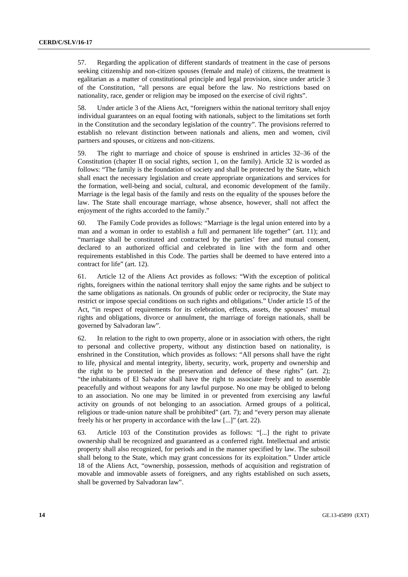57. Regarding the application of different standards of treatment in the case of persons seeking citizenship and non-citizen spouses (female and male) of citizens, the treatment is egalitarian as a matter of constitutional principle and legal provision, since under article 3 of the Constitution, "all persons are equal before the law. No restrictions based on nationality, race, gender or religion may be imposed on the exercise of civil rights".

58. Under article 3 of the Aliens Act, "foreigners within the national territory shall enjoy individual guarantees on an equal footing with nationals, subject to the limitations set forth in the Constitution and the secondary legislation of the country". The provisions referred to establish no relevant distinction between nationals and aliens, men and women, civil partners and spouses, or citizens and non-citizens.

59. The right to marriage and choice of spouse is enshrined in articles 32–36 of the Constitution (chapter II on social rights, section 1, on the family). Article 32 is worded as follows: "The family is the foundation of society and shall be protected by the State, which shall enact the necessary legislation and create appropriate organizations and services for the formation, well-being and social, cultural, and economic development of the family. Marriage is the legal basis of the family and rests on the equality of the spouses before the law. The State shall encourage marriage, whose absence, however, shall not affect the enjoyment of the rights accorded to the family."

60. The Family Code provides as follows: "Marriage is the legal union entered into by a man and a woman in order to establish a full and permanent life together" (art. 11); and "marriage shall be constituted and contracted by the parties' free and mutual consent, declared to an authorized official and celebrated in line with the form and other requirements established in this Code. The parties shall be deemed to have entered into a contract for life" (art. 12).

61. Article 12 of the Aliens Act provides as follows: "With the exception of political rights, foreigners within the national territory shall enjoy the same rights and be subject to the same obligations as nationals. On grounds of public order or reciprocity, the State may restrict or impose special conditions on such rights and obligations." Under article 15 of the Act, "in respect of requirements for its celebration, effects, assets, the spouses' mutual rights and obligations, divorce or annulment, the marriage of foreign nationals, shall be governed by Salvadoran law".

62. In relation to the right to own property, alone or in association with others, the right to personal and collective property, without any distinction based on nationality, is enshrined in the Constitution, which provides as follows: "All persons shall have the right to life, physical and mental integrity, liberty, security, work, property and ownership and the right to be protected in the preservation and defence of these rights" (art. 2); "the inhabitants of El Salvador shall have the right to associate freely and to assemble peacefully and without weapons for any lawful purpose. No one may be obliged to belong to an association. No one may be limited in or prevented from exercising any lawful activity on grounds of not belonging to an association. Armed groups of a political, religious or trade-union nature shall be prohibited" (art. 7); and "every person may alienate freely his or her property in accordance with the law [...]" (art. 22).

63. Article 103 of the Constitution provides as follows: "[...] the right to private ownership shall be recognized and guaranteed as a conferred right. Intellectual and artistic property shall also recognized, for periods and in the manner specified by law. The subsoil shall belong to the State, which may grant concessions for its exploitation." Under article 18 of the Aliens Act, "ownership, possession, methods of acquisition and registration of movable and immovable assets of foreigners, and any rights established on such assets, shall be governed by Salvadoran law".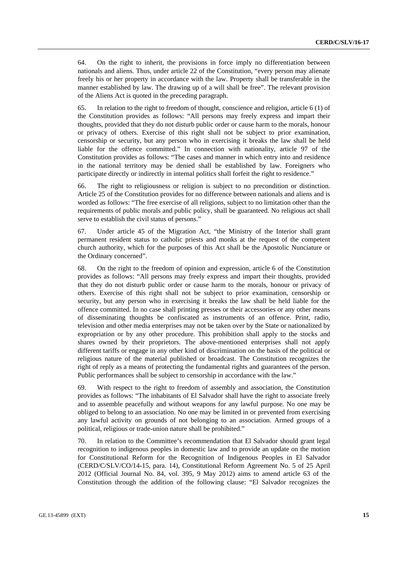64. On the right to inherit, the provisions in force imply no differentiation between nationals and aliens. Thus, under article 22 of the Constitution, "every person may alienate freely his or her property in accordance with the law. Property shall be transferable in the manner established by law. The drawing up of a will shall be free". The relevant provision of the Aliens Act is quoted in the preceding paragraph.

65. In relation to the right to freedom of thought, conscience and religion, article 6 (1) of the Constitution provides as follows: "All persons may freely express and impart their thoughts, provided that they do not disturb public order or cause harm to the morals, honour or privacy of others. Exercise of this right shall not be subject to prior examination, censorship or security, but any person who in exercising it breaks the law shall be held liable for the offence committed." In connection with nationality, article 97 of the Constitution provides as follows: "The cases and manner in which entry into and residence in the national territory may be denied shall be established by law. Foreigners who participate directly or indirectly in internal politics shall forfeit the right to residence."

66. The right to religiousness or religion is subject to no precondition or distinction. Article 25 of the Constitution provides for no difference between nationals and aliens and is worded as follows: "The free exercise of all religions, subject to no limitation other than the requirements of public morals and public policy, shall be guaranteed. No religious act shall serve to establish the civil status of persons."

67. Under article 45 of the Migration Act, "the Ministry of the Interior shall grant permanent resident status to catholic priests and monks at the request of the competent church authority, which for the purposes of this Act shall be the Apostolic Nunciature or the Ordinary concerned".

68. On the right to the freedom of opinion and expression, article 6 of the Constitution provides as follows: "All persons may freely express and impart their thoughts, provided that they do not disturb public order or cause harm to the morals, honour or privacy of others. Exercise of this right shall not be subject to prior examination, censorship or security, but any person who in exercising it breaks the law shall be held liable for the offence committed. In no case shall printing presses or their accessories or any other means of disseminating thoughts be confiscated as instruments of an offence. Print, radio, television and other media enterprises may not be taken over by the State or nationalized by expropriation or by any other procedure. This prohibition shall apply to the stocks and shares owned by their proprietors. The above-mentioned enterprises shall not apply different tariffs or engage in any other kind of discrimination on the basis of the political or religious nature of the material published or broadcast. The Constitution recognizes the right of reply as a means of protecting the fundamental rights and guarantees of the person. Public performances shall be subject to censorship in accordance with the law."

69. With respect to the right to freedom of assembly and association, the Constitution provides as follows: "The inhabitants of El Salvador shall have the right to associate freely and to assemble peacefully and without weapons for any lawful purpose. No one may be obliged to belong to an association. No one may be limited in or prevented from exercising any lawful activity on grounds of not belonging to an association. Armed groups of a political, religious or trade-union nature shall be prohibited."

70. In relation to the Committee's recommendation that El Salvador should grant legal recognition to indigenous peoples in domestic law and to provide an update on the motion for Constitutional Reform for the Recognition of Indigenous Peoples in El Salvador (CERD/C/SLV/CO/14-15, para. 14), Constitutional Reform Agreement No. 5 of 25 April 2012 (Official Journal No. 84, vol. 395, 9 May 2012) aims to amend article 63 of the Constitution through the addition of the following clause: "El Salvador recognizes the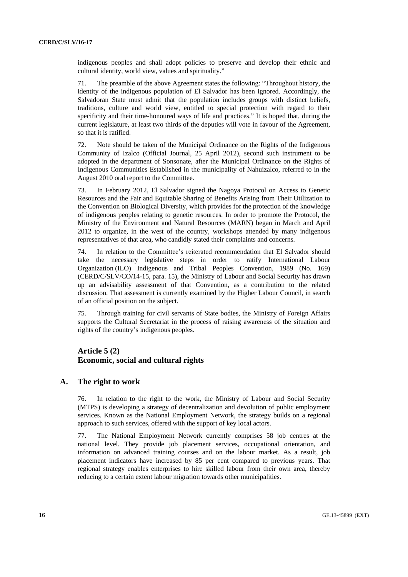indigenous peoples and shall adopt policies to preserve and develop their ethnic and cultural identity, world view, values and spirituality."

71. The preamble of the above Agreement states the following: "Throughout history, the identity of the indigenous population of El Salvador has been ignored. Accordingly, the Salvadoran State must admit that the population includes groups with distinct beliefs, traditions, culture and world view, entitled to special protection with regard to their specificity and their time-honoured ways of life and practices." It is hoped that, during the current legislature, at least two thirds of the deputies will vote in favour of the Agreement, so that it is ratified.

72. Note should be taken of the Municipal Ordinance on the Rights of the Indigenous Community of Izalco (Official Journal, 25 April 2012), second such instrument to be adopted in the department of Sonsonate, after the Municipal Ordinance on the Rights of Indigenous Communities Established in the municipality of Nahuizalco, referred to in the August 2010 oral report to the Committee.

73. In February 2012, El Salvador signed the Nagoya Protocol on Access to Genetic Resources and the Fair and Equitable Sharing of Benefits Arising from Their Utilization to the Convention on Biological Diversity, which provides for the protection of the knowledge of indigenous peoples relating to genetic resources. In order to promote the Protocol, the Ministry of the Environment and Natural Resources (MARN) began in March and April 2012 to organize, in the west of the country, workshops attended by many indigenous representatives of that area, who candidly stated their complaints and concerns.

74. In relation to the Committee's reiterated recommendation that El Salvador should take the necessary legislative steps in order to ratify International Labour Organization (ILO) Indigenous and Tribal Peoples Convention, 1989 (No. 169) (CERD/C/SLV/CO/14-15, para. 15), the Ministry of Labour and Social Security has drawn up an advisability assessment of that Convention, as a contribution to the related discussion. That assessment is currently examined by the Higher Labour Council, in search of an official position on the subject.

75. Through training for civil servants of State bodies, the Ministry of Foreign Affairs supports the Cultural Secretariat in the process of raising awareness of the situation and rights of the country's indigenous peoples.

## **Article 5 (2) Economic, social and cultural rights**

#### **A. The right to work**

76. In relation to the right to the work, the Ministry of Labour and Social Security (MTPS) is developing a strategy of decentralization and devolution of public employment services. Known as the National Employment Network, the strategy builds on a regional approach to such services, offered with the support of key local actors.

77. The National Employment Network currently comprises 58 job centres at the national level. They provide job placement services, occupational orientation, and information on advanced training courses and on the labour market. As a result, job placement indicators have increased by 85 per cent compared to previous years. That regional strategy enables enterprises to hire skilled labour from their own area, thereby reducing to a certain extent labour migration towards other municipalities.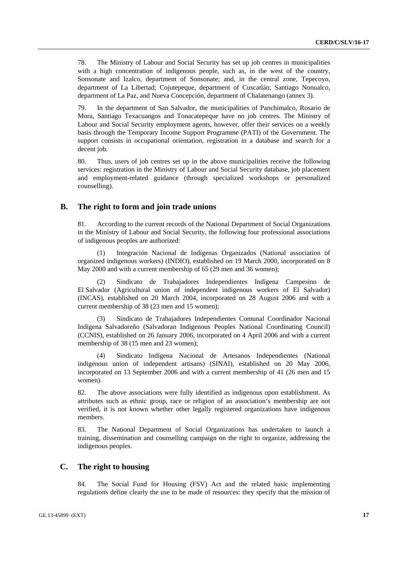78. The Ministry of Labour and Social Security has set up job centres in municipalities with a high concentration of indigenous people, such as, in the west of the country, Sonsonate and Izalco, department of Sonsonate; and, in the central zone, Tepecoyo, department of La Libertad; Cojutepeque, department of Cuscatlán; Santiago Nonualco, department of La Paz, and Nueva Concepción, department of Chalatenango (annex 3).

79. In the department of San Salvador, the municipalities of Panchimalco, Rosario de Mora, Santiago Texacuangos and Tonacatepeque have no job centres. The Ministry of Labour and Social Security employment agents, however, offer their services on a weekly basis through the Temporary Income Support Programme (PATI) of the Government. The support consists in occupational orientation, registration in a database and search for a decent *iob*.

80. Thus, users of job centres set up in the above municipalities receive the following services: registration in the Ministry of Labour and Social Security database, job placement and employment-related guidance (through specialized workshops or personalized counselling).

#### **B. The right to form and join trade unions**

81. According to the current records of the National Department of Social Organizations in the Ministry of Labour and Social Security, the following four professional associations of indigenous peoples are authorized:

 (1) Integración Nacional de Indígenas Organizados (National association of organized indigenous workers) (INDIO), established on 19 March 2000, incorporated on 8 May 2000 and with a current membership of 65 (29 men and 36 women);

 (2) Sindicato de Trabajadores Independientes Indígena Campesino de El Salvador (Agricultural union of independent indigenous workers of El Salvador) (INCAS), established on 20 March 2004, incorporated on 28 August 2006 and with a current membership of 38 (23 men and 15 women);

Sindicato de Trabajadores Independientes Comunal Coordinador Nacional Indígena Salvadoreño (Salvadoran Indigenous Peoples National Coordinating Council) (CCNIS), established on 26 January 2006, incorporated on 4 April 2006 and with a current membership of 38 (15 men and 23 women);

 (4) Sindicato Indígena Nacional de Artesanos Independientes (National indigenous union of independent artisans) (SINAI), established on 20 May 2006, incorporated on 13 September 2006 and with a current membership of 41 (26 men and 15 women).

82. The above associations were fully identified as indigenous upon establishment. As attributes such as ethnic group, race or religion of an association's membership are not verified, it is not known whether other legally registered organizations have indigenous members.

83. The National Department of Social Organizations has undertaken to launch a training, dissemination and counselling campaign on the right to organize, addressing the indigenous peoples.

#### **C. The right to housing**

84. The Social Fund for Housing (FSV) Act and the related basic implementing regulations define clearly the use to be made of resources: they specify that the mission of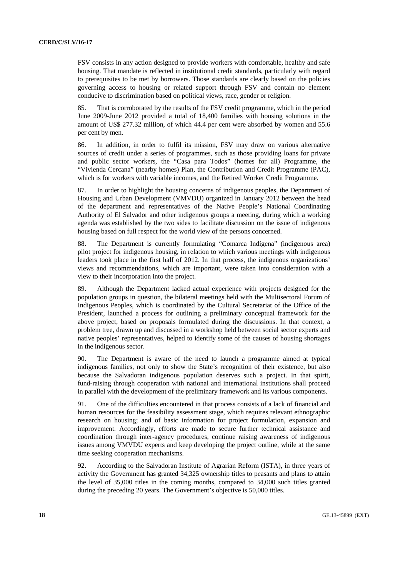FSV consists in any action designed to provide workers with comfortable, healthy and safe housing. That mandate is reflected in institutional credit standards, particularly with regard to prerequisites to be met by borrowers. Those standards are clearly based on the policies governing access to housing or related support through FSV and contain no element conducive to discrimination based on political views, race, gender or religion.

85. That is corroborated by the results of the FSV credit programme, which in the period June 2009-June 2012 provided a total of 18,400 families with housing solutions in the amount of US\$ 277.32 million, of which 44.4 per cent were absorbed by women and 55.6 per cent by men.

86. In addition, in order to fulfil its mission, FSV may draw on various alternative sources of credit under a series of programmes, such as those providing loans for private and public sector workers, the "Casa para Todos" (homes for all) Programme, the "Vivienda Cercana" (nearby homes) Plan, the Contribution and Credit Programme (PAC), which is for workers with variable incomes, and the Retired Worker Credit Programme.

87. In order to highlight the housing concerns of indigenous peoples, the Department of Housing and Urban Development (VMVDU) organized in January 2012 between the head of the department and representatives of the Native People's National Coordinating Authority of El Salvador and other indigenous groups a meeting, during which a working agenda was established by the two sides to facilitate discussion on the issue of indigenous housing based on full respect for the world view of the persons concerned.

88. The Department is currently formulating "Comarca Indígena" (indigenous area) pilot project for indigenous housing, in relation to which various meetings with indigenous leaders took place in the first half of 2012. In that process, the indigenous organizations' views and recommendations, which are important, were taken into consideration with a view to their incorporation into the project.

89. Although the Department lacked actual experience with projects designed for the population groups in question, the bilateral meetings held with the Multisectoral Forum of Indigenous Peoples, which is coordinated by the Cultural Secretariat of the Office of the President, launched a process for outlining a preliminary conceptual framework for the above project, based on proposals formulated during the discussions. In that context, a problem tree, drawn up and discussed in a workshop held between social sector experts and native peoples' representatives, helped to identify some of the causes of housing shortages in the indigenous sector.

90. The Department is aware of the need to launch a programme aimed at typical indigenous families, not only to show the State's recognition of their existence, but also because the Salvadoran indigenous population deserves such a project. In that spirit, fund-raising through cooperation with national and international institutions shall proceed in parallel with the development of the preliminary framework and its various components.

91. One of the difficulties encountered in that process consists of a lack of financial and human resources for the feasibility assessment stage, which requires relevant ethnographic research on housing; and of basic information for project formulation, expansion and improvement. Accordingly, efforts are made to secure further technical assistance and coordination through inter-agency procedures, continue raising awareness of indigenous issues among VMVDU experts and keep developing the project outline, while at the same time seeking cooperation mechanisms.

92. According to the Salvadoran Institute of Agrarian Reform (ISTA), in three years of activity the Government has granted 34,325 ownership titles to peasants and plans to attain the level of 35,000 titles in the coming months, compared to 34,000 such titles granted during the preceding 20 years. The Government's objective is 50,000 titles.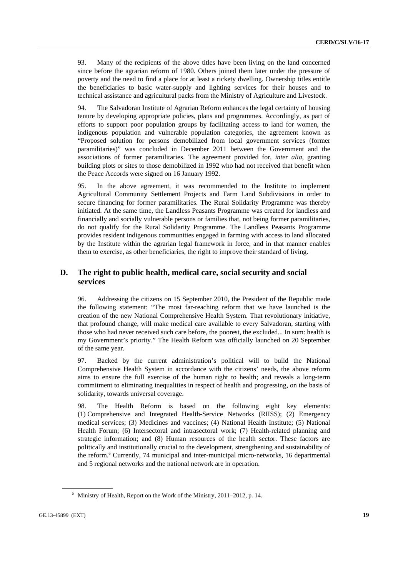93. Many of the recipients of the above titles have been living on the land concerned since before the agrarian reform of 1980. Others joined them later under the pressure of poverty and the need to find a place for at least a rickety dwelling. Ownership titles entitle the beneficiaries to basic water-supply and lighting services for their houses and to technical assistance and agricultural packs from the Ministry of Agriculture and Livestock.

94. The Salvadoran Institute of Agrarian Reform enhances the legal certainty of housing tenure by developing appropriate policies, plans and programmes. Accordingly, as part of efforts to support poor population groups by facilitating access to land for women, the indigenous population and vulnerable population categories, the agreement known as "Proposed solution for persons demobilized from local government services (former paramilitaries)" was concluded in December 2011 between the Government and the associations of former paramilitaries. The agreement provided for, *inter alia*, granting building plots or sites to those demobilized in 1992 who had not received that benefit when the Peace Accords were signed on 16 January 1992.

95. In the above agreement, it was recommended to the Institute to implement Agricultural Community Settlement Projects and Farm Land Subdivisions in order to secure financing for former paramilitaries. The Rural Solidarity Programme was thereby initiated. At the same time, the Landless Peasants Programme was created for landless and financially and socially vulnerable persons or families that, not being former paramilitaries, do not qualify for the Rural Solidarity Programme. The Landless Peasants Programme provides resident indigenous communities engaged in farming with access to land allocated by the Institute within the agrarian legal framework in force, and in that manner enables them to exercise, as other beneficiaries, the right to improve their standard of living.

#### **D. The right to public health, medical care, social security and social services**

96. Addressing the citizens on 15 September 2010, the President of the Republic made the following statement: "The most far-reaching reform that we have launched is the creation of the new National Comprehensive Health System. That revolutionary initiative, that profound change, will make medical care available to every Salvadoran, starting with those who had never received such care before, the poorest, the excluded... In sum: health is my Government's priority." The Health Reform was officially launched on 20 September of the same year.

97. Backed by the current administration's political will to build the National Comprehensive Health System in accordance with the citizens' needs, the above reform aims to ensure the full exercise of the human right to health; and reveals a long-term commitment to eliminating inequalities in respect of health and progressing, on the basis of solidarity, towards universal coverage.

98. The Health Reform is based on the following eight key elements: (1) Comprehensive and Integrated Health-Service Networks (RIISS); (2) Emergency medical services; (3) Medicines and vaccines; (4) National Health Institute; (5) National Health Forum; (6) Intersectoral and intrasectoral work; (7) Health-related planning and strategic information; and (8) Human resources of the health sector. These factors are politically and institutionally crucial to the development, strengthening and sustainability of the reform.<sup>6</sup> Currently, 74 municipal and inter-municipal micro-networks, 16 departmental and 5 regional networks and the national network are in operation.

 <sup>6</sup> Ministry of Health, Report on the Work of the Ministry, 2011–2012, p. 14.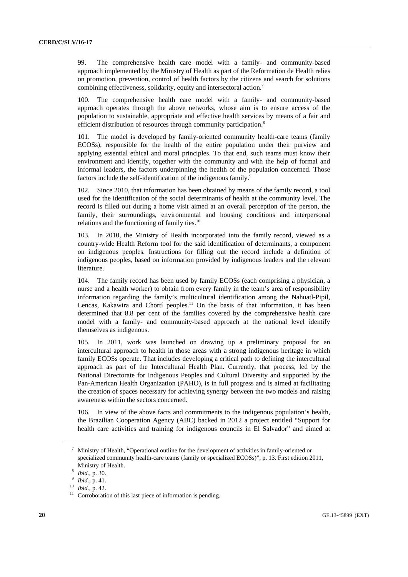99. The comprehensive health care model with a family- and community-based approach implemented by the Ministry of Health as part of the Reformation de Health relies on promotion, prevention, control of health factors by the citizens and search for solutions combining effectiveness, solidarity, equity and intersectoral action.<sup>7</sup>

100. The comprehensive health care model with a family- and community-based approach operates through the above networks, whose aim is to ensure access of the population to sustainable, appropriate and effective health services by means of a fair and efficient distribution of resources through community participation.<sup>8</sup>

101. The model is developed by family-oriented community health-care teams (family ECOSs), responsible for the health of the entire population under their purview and applying essential ethical and moral principles. To that end, such teams must know their environment and identify, together with the community and with the help of formal and informal leaders, the factors underpinning the health of the population concerned. Those factors include the self-identification of the indigenous family.<sup>9</sup>

102. Since 2010, that information has been obtained by means of the family record, a tool used for the identification of the social determinants of health at the community level. The record is filled out during a home visit aimed at an overall perception of the person, the family, their surroundings, environmental and housing conditions and interpersonal relations and the functioning of family ties.<sup>10</sup>

103. In 2010, the Ministry of Health incorporated into the family record, viewed as a country-wide Health Reform tool for the said identification of determinants, a component on indigenous peoples. Instructions for filling out the record include a definition of indigenous peoples, based on information provided by indigenous leaders and the relevant literature.

104. The family record has been used by family ECOSs (each comprising a physician, a nurse and a health worker) to obtain from every family in the team's area of responsibility information regarding the family's multicultural identification among the Nahuatl-Pipil, Lencas, Kakawira and Chortí peoples.<sup>11</sup> On the basis of that information, it has been determined that 8.8 per cent of the families covered by the comprehensive health care model with a family- and community-based approach at the national level identify themselves as indigenous.

105. In 2011, work was launched on drawing up a preliminary proposal for an intercultural approach to health in those areas with a strong indigenous heritage in which family ECOSs operate. That includes developing a critical path to defining the intercultural approach as part of the Intercultural Health Plan. Currently, that process, led by the National Directorate for Indigenous Peoples and Cultural Diversity and supported by the Pan-American Health Organization (PAHO), is in full progress and is aimed at facilitating the creation of spaces necessary for achieving synergy between the two models and raising awareness within the sectors concerned.

106. In view of the above facts and commitments to the indigenous population's health, the Brazilian Cooperation Agency (ABC) backed in 2012 a project entitled "Support for health care activities and training for indigenous councils in El Salvador" and aimed at

 <sup>7</sup> Ministry of Health, "Operational outline for the development of activities in family-oriented or specialized community health-care teams (family or specialized ECOSs)", p. 13. First edition 2011,

Ministry of Health.<br><sup>8</sup> *Ibid.*, p. 30.<br><sup>9</sup> *Ibid.*, p. 41.<br><sup>10</sup> *Ibid.*, p. 42.<br><sup>11</sup> Corroboration of this last piece of information is pending.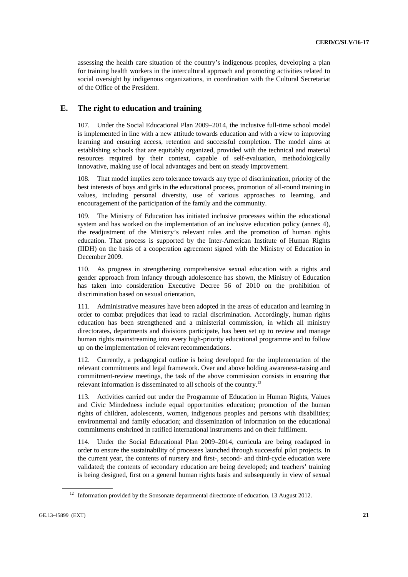assessing the health care situation of the country's indigenous peoples, developing a plan for training health workers in the intercultural approach and promoting activities related to social oversight by indigenous organizations, in coordination with the Cultural Secretariat of the Office of the President.

#### **E. The right to education and training**

107. Under the Social Educational Plan 2009–2014, the inclusive full-time school model is implemented in line with a new attitude towards education and with a view to improving learning and ensuring access, retention and successful completion. The model aims at establishing schools that are equitably organized, provided with the technical and material resources required by their context, capable of self-evaluation, methodologically innovative, making use of local advantages and bent on steady improvement.

108. That model implies zero tolerance towards any type of discrimination, priority of the best interests of boys and girls in the educational process, promotion of all-round training in values, including personal diversity, use of various approaches to learning, and encouragement of the participation of the family and the community.

109. The Ministry of Education has initiated inclusive processes within the educational system and has worked on the implementation of an inclusive education policy (annex 4), the readjustment of the Ministry's relevant rules and the promotion of human rights education. That process is supported by the Inter-American Institute of Human Rights (IIDH) on the basis of a cooperation agreement signed with the Ministry of Education in December 2009.

110. As progress in strengthening comprehensive sexual education with a rights and gender approach from infancy through adolescence has shown, the Ministry of Education has taken into consideration Executive Decree 56 of 2010 on the prohibition of discrimination based on sexual orientation,

111. Administrative measures have been adopted in the areas of education and learning in order to combat prejudices that lead to racial discrimination. Accordingly, human rights education has been strengthened and a ministerial commission, in which all ministry directorates, departments and divisions participate, has been set up to review and manage human rights mainstreaming into every high-priority educational programme and to follow up on the implementation of relevant recommendations.

112. Currently, a pedagogical outline is being developed for the implementation of the relevant commitments and legal framework. Over and above holding awareness-raising and commitment-review meetings, the task of the above commission consists in ensuring that relevant information is disseminated to all schools of the country.12

113. Activities carried out under the Programme of Education in Human Rights, Values and Civic Mindedness include equal opportunities education; promotion of the human rights of children, adolescents, women, indigenous peoples and persons with disabilities; environmental and family education; and dissemination of information on the educational commitments enshrined in ratified international instruments and on their fulfilment.

114. Under the Social Educational Plan 2009–2014, curricula are being readapted in order to ensure the sustainability of processes launched through successful pilot projects. In the current year, the contents of nursery and first-, second- and third-cycle education were validated; the contents of secondary education are being developed; and teachers' training is being designed, first on a general human rights basis and subsequently in view of sexual

<sup>&</sup>lt;sup>12</sup> Information provided by the Sonsonate departmental directorate of education, 13 August 2012.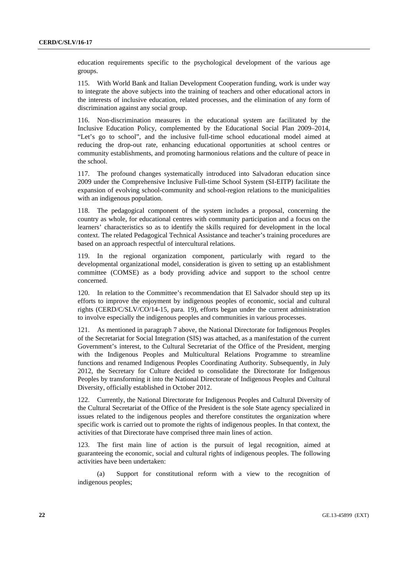education requirements specific to the psychological development of the various age groups.

115. With World Bank and Italian Development Cooperation funding, work is under way to integrate the above subjects into the training of teachers and other educational actors in the interests of inclusive education, related processes, and the elimination of any form of discrimination against any social group.

116. Non-discrimination measures in the educational system are facilitated by the Inclusive Education Policy, complemented by the Educational Social Plan 2009–2014, "Let's go to school", and the inclusive full-time school educational model aimed at reducing the drop-out rate, enhancing educational opportunities at school centres or community establishments, and promoting harmonious relations and the culture of peace in the school.

117. The profound changes systematically introduced into Salvadoran education since 2009 under the Comprehensive Inclusive Full-time School System (SI-EITP) facilitate the expansion of evolving school-community and school-region relations to the municipalities with an indigenous population.

118. The pedagogical component of the system includes a proposal, concerning the country as whole, for educational centres with community participation and a focus on the learners' characteristics so as to identify the skills required for development in the local context. The related Pedagogical Technical Assistance and teacher's training procedures are based on an approach respectful of intercultural relations.

119. In the regional organization component, particularly with regard to the developmental organizational model, consideration is given to setting up an establishment committee (COMSE) as a body providing advice and support to the school centre concerned.

120. In relation to the Committee's recommendation that El Salvador should step up its efforts to improve the enjoyment by indigenous peoples of economic, social and cultural rights (CERD/C/SLV/CO/14-15, para. 19), efforts began under the current administration to involve especially the indigenous peoples and communities in various processes.

121. As mentioned in paragraph 7 above, the National Directorate for Indigenous Peoples of the Secretariat for Social Integration (SIS) was attached, as a manifestation of the current Government's interest, to the Cultural Secretariat of the Office of the President, merging with the Indigenous Peoples and Multicultural Relations Programme to streamline functions and renamed Indigenous Peoples Coordinating Authority. Subsequently, in July 2012, the Secretary for Culture decided to consolidate the Directorate for Indigenous Peoples by transforming it into the National Directorate of Indigenous Peoples and Cultural Diversity, officially established in October 2012.

122. Currently, the National Directorate for Indigenous Peoples and Cultural Diversity of the Cultural Secretariat of the Office of the President is the sole State agency specialized in issues related to the indigenous peoples and therefore constitutes the organization where specific work is carried out to promote the rights of indigenous peoples. In that context, the activities of that Directorate have comprised three main lines of action.

123. The first main line of action is the pursuit of legal recognition, aimed at guaranteeing the economic, social and cultural rights of indigenous peoples. The following activities have been undertaken:

 (a) Support for constitutional reform with a view to the recognition of indigenous peoples;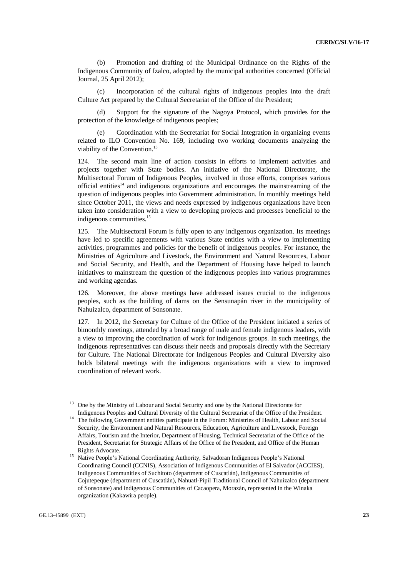(b) Promotion and drafting of the Municipal Ordinance on the Rights of the Indigenous Community of Izalco, adopted by the municipal authorities concerned (Official Journal, 25 April 2012);

 (c) Incorporation of the cultural rights of indigenous peoples into the draft Culture Act prepared by the Cultural Secretariat of the Office of the President;

 (d) Support for the signature of the Nagoya Protocol, which provides for the protection of the knowledge of indigenous peoples;

Coordination with the Secretariat for Social Integration in organizing events related to ILO Convention No. 169, including two working documents analyzing the viability of the Convention.<sup>13</sup>

124. The second main line of action consists in efforts to implement activities and projects together with State bodies. An initiative of the National Directorate, the Multisectoral Forum of Indigenous Peoples, involved in those efforts, comprises various official entities $14$  and indigenous organizations and encourages the mainstreaming of the question of indigenous peoples into Government administration. In monthly meetings held since October 2011, the views and needs expressed by indigenous organizations have been taken into consideration with a view to developing projects and processes beneficial to the indigenous communities.<sup>15</sup>

125. The Multisectoral Forum is fully open to any indigenous organization. Its meetings have led to specific agreements with various State entities with a view to implementing activities, programmes and policies for the benefit of indigenous peoples. For instance, the Ministries of Agriculture and Livestock, the Environment and Natural Resources, Labour and Social Security, and Health, and the Department of Housing have helped to launch initiatives to mainstream the question of the indigenous peoples into various programmes and working agendas.

126. Moreover, the above meetings have addressed issues crucial to the indigenous peoples, such as the building of dams on the Sensunapán river in the municipality of Nahuizalco, department of Sonsonate.

127. In 2012, the Secretary for Culture of the Office of the President initiated a series of bimonthly meetings, attended by a broad range of male and female indigenous leaders, with a view to improving the coordination of work for indigenous groups. In such meetings, the indigenous representatives can discuss their needs and proposals directly with the Secretary for Culture. The National Directorate for Indigenous Peoples and Cultural Diversity also holds bilateral meetings with the indigenous organizations with a view to improved coordination of relevant work.

 <sup>13</sup> One by the Ministry of Labour and Social Security and one by the National Directorate for

Indigenous Peoples and Cultural Diversity of the Cultural Secretariat of the Office of the President. 14 The following Government entities participate in the Forum: Ministries of Health, Labour and Social Security, the Environment and Natural Resources, Education, Agriculture and Livestock, Foreign Affairs, Tourism and the Interior, Department of Housing, Technical Secretariat of the Office of the President, Secretariat for Strategic Affairs of the Office of the President, and Office of the Human

Rights Advocate. 15 Native People's National Coordinating Authority, Salvadoran Indigenous People's National Coordinating Council (CCNIS), Association of Indigenous Communities of El Salvador (ACCIES), Indigenous Communities of Suchitoto (department of Cuscatlán), indigenous Communities of Cojutepeque (department of Cuscatlán), Nahuatl-Pipil Traditional Council of Nahuizalco (department of Sonsonate) and indigenous Communities of Cacaopera, Morazán, represented in the Winaka organization (Kakawira people).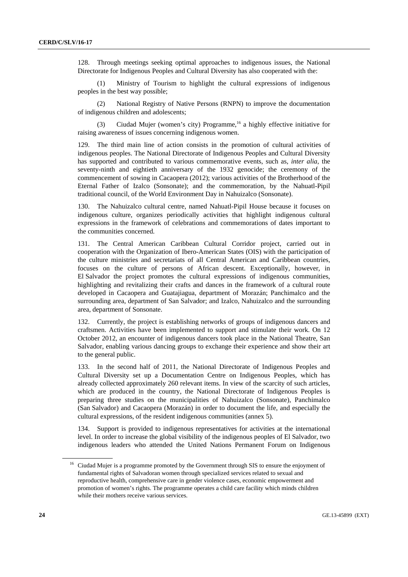128. Through meetings seeking optimal approaches to indigenous issues, the National Directorate for Indigenous Peoples and Cultural Diversity has also cooperated with the:

 (1) Ministry of Tourism to highlight the cultural expressions of indigenous peoples in the best way possible;

 (2) National Registry of Native Persons (RNPN) to improve the documentation of indigenous children and adolescents;

(3) Ciudad Mujer (women's city) Programme,  $16$  a highly effective initiative for raising awareness of issues concerning indigenous women.

129. The third main line of action consists in the promotion of cultural activities of indigenous peoples. The National Directorate of Indigenous Peoples and Cultural Diversity has supported and contributed to various commemorative events, such as, *inter alia*, the seventy-ninth and eightieth anniversary of the 1932 genocide; the ceremony of the commencement of sowing in Cacaopera (2012); various activities of the Brotherhood of the Eternal Father of Izalco (Sonsonate); and the commemoration, by the Nahuatl-Pipil traditional council, of the World Environment Day in Nahuizalco (Sonsonate).

130. The Nahuizalco cultural centre, named Nahuatl-Pipil House because it focuses on indigenous culture, organizes periodically activities that highlight indigenous cultural expressions in the framework of celebrations and commemorations of dates important to the communities concerned.

131. The Central American Caribbean Cultural Corridor project, carried out in cooperation with the Organization of Ibero-American States (OIS) with the participation of the culture ministries and secretariats of all Central American and Caribbean countries, focuses on the culture of persons of African descent. Exceptionally, however, in El Salvador the project promotes the cultural expressions of indigenous communities, highlighting and revitalizing their crafts and dances in the framework of a cultural route developed in Cacaopera and Guatajiagua, department of Morazán; Panchimalco and the surrounding area, department of San Salvador; and Izalco, Nahuizalco and the surrounding area, department of Sonsonate.

132. Currently, the project is establishing networks of groups of indigenous dancers and craftsmen. Activities have been implemented to support and stimulate their work. On 12 October 2012, an encounter of indigenous dancers took place in the National Theatre, San Salvador, enabling various dancing groups to exchange their experience and show their art to the general public.

133. In the second half of 2011, the National Directorate of Indigenous Peoples and Cultural Diversity set up a Documentation Centre on Indigenous Peoples, which has already collected approximately 260 relevant items. In view of the scarcity of such articles, which are produced in the country, the National Directorate of Indigenous Peoples is preparing three studies on the municipalities of Nahuizalco (Sonsonate), Panchimalco (San Salvador) and Cacaopera (Morazán) in order to document the life, and especially the cultural expressions, of the resident indigenous communities (annex 5).

134. Support is provided to indigenous representatives for activities at the international level. In order to increase the global visibility of the indigenous peoples of El Salvador, two indigenous leaders who attended the United Nations Permanent Forum on Indigenous

<sup>&</sup>lt;sup>16</sup> Ciudad Mujer is a programme promoted by the Government through SIS to ensure the enjoyment of fundamental rights of Salvadoran women through specialized services related to sexual and reproductive health, comprehensive care in gender violence cases, economic empowerment and promotion of women's rights. The programme operates a child care facility which minds children while their mothers receive various services.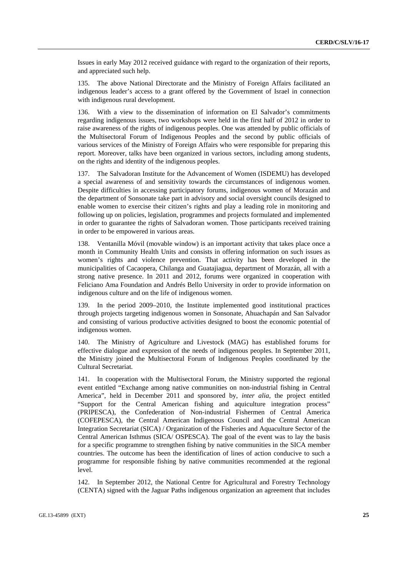Issues in early May 2012 received guidance with regard to the organization of their reports, and appreciated such help.

135. The above National Directorate and the Ministry of Foreign Affairs facilitated an indigenous leader's access to a grant offered by the Government of Israel in connection with indigenous rural development.

136. With a view to the dissemination of information on El Salvador's commitments regarding indigenous issues, two workshops were held in the first half of 2012 in order to raise awareness of the rights of indigenous peoples. One was attended by public officials of the Multisectoral Forum of Indigenous Peoples and the second by public officials of various services of the Ministry of Foreign Affairs who were responsible for preparing this report. Moreover, talks have been organized in various sectors, including among students, on the rights and identity of the indigenous peoples.

137. The Salvadoran Institute for the Advancement of Women (ISDEMU) has developed a special awareness of and sensitivity towards the circumstances of indigenous women. Despite difficulties in accessing participatory forums, indigenous women of Morazán and the department of Sonsonate take part in advisory and social oversight councils designed to enable women to exercise their citizen's rights and play a leading role in monitoring and following up on policies, legislation, programmes and projects formulated and implemented in order to guarantee the rights of Salvadoran women. Those participants received training in order to be empowered in various areas.

138. Ventanilla Móvil (movable window) is an important activity that takes place once a month in Community Health Units and consists in offering information on such issues as women's rights and violence prevention. That activity has been developed in the municipalities of Cacaopera, Chilanga and Guatajiagua, department of Morazán, all with a strong native presence. In 2011 and 2012, forums were organized in cooperation with Feliciano Ama Foundation and Andrés Bello University in order to provide information on indigenous culture and on the life of indigenous women.

139. In the period 2009–2010, the Institute implemented good institutional practices through projects targeting indigenous women in Sonsonate, Ahuachapán and San Salvador and consisting of various productive activities designed to boost the economic potential of indigenous women.

140. The Ministry of Agriculture and Livestock (MAG) has established forums for effective dialogue and expression of the needs of indigenous peoples. In September 2011, the Ministry joined the Multisectoral Forum of Indigenous Peoples coordinated by the Cultural Secretariat.

141. In cooperation with the Multisectoral Forum, the Ministry supported the regional event entitled "Exchange among native communities on non-industrial fishing in Central America", held in December 2011 and sponsored by, *inter alia*, the project entitled "Support for the Central American fishing and aquiculture integration process" (PRIPESCA), the Confederation of Non-industrial Fishermen of Central America (COFEPESCA), the Central American Indigenous Council and the Central American Integration Secretariat (SICA) / Organization of the Fisheries and Aquaculture Sector of the Central American Isthmus (SICA/ OSPESCA). The goal of the event was to lay the basis for a specific programme to strengthen fishing by native communities in the SICA member countries. The outcome has been the identification of lines of action conducive to such a programme for responsible fishing by native communities recommended at the regional level.

142. In September 2012, the National Centre for Agricultural and Forestry Technology (CENTA) signed with the Jaguar Paths indigenous organization an agreement that includes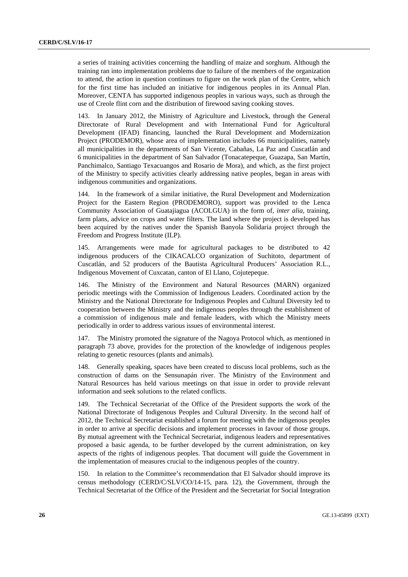a series of training activities concerning the handling of maize and sorghum. Although the training ran into implementation problems due to failure of the members of the organization to attend, the action in question continues to figure on the work plan of the Centre, which for the first time has included an initiative for indigenous peoples in its Annual Plan. Moreover, CENTA has supported indigenous peoples in various ways, such as through the use of Creole flint corn and the distribution of firewood saving cooking stoves.

143. In January 2012, the Ministry of Agriculture and Livestock, through the General Directorate of Rural Development and with International Fund for Agricultural Development (IFAD) financing, launched the Rural Development and Modernization Project (PRODEMOR), whose area of implementation includes 66 municipalities, namely all municipalities in the departments of San Vicente, Cabañas, La Paz and Cuscatlán and 6 municipalities in the department of San Salvador (Tonacatepeque, Guazapa, San Martín, Panchimalco, Santiago Texacuangos and Rosario de Mora), and which, as the first project of the Ministry to specify activities clearly addressing native peoples, began in areas with indigenous communities and organizations.

144. In the framework of a similar initiative, the Rural Development and Modernization Project for the Eastern Region (PRODEMORO), support was provided to the Lenca Community Association of Guatajiagua (ACOLGUA) in the form of, *inter alia*, training, farm plans, advice on crops and water filters. The land where the project is developed has been acquired by the natives under the Spanish Banyola Solidaria project through the Freedom and Progress Institute (ILP).

145. Arrangements were made for agricultural packages to be distributed to 42 indigenous producers of the CIKACALCO organization of Suchitoto, department of Cuscatlán, and 52 producers of the Bautista Agricultural Producers' Association R.L., Indigenous Movement of Cuxcatan, canton of El Llano, Cojutepeque.

146. The Ministry of the Environment and Natural Resources (MARN) organized periodic meetings with the Commission of Indigenous Leaders. Coordinated action by the Ministry and the National Directorate for Indigenous Peoples and Cultural Diversity led to cooperation between the Ministry and the indigenous peoples through the establishment of a commission of indigenous male and female leaders, with which the Ministry meets periodically in order to address various issues of environmental interest.

147. The Ministry promoted the signature of the Nagoya Protocol which, as mentioned in paragraph 73 above, provides for the protection of the knowledge of indigenous peoples relating to genetic resources (plants and animals).

148. Generally speaking, spaces have been created to discuss local problems, such as the construction of dams on the Sensunapán river. The Ministry of the Environment and Natural Resources has held various meetings on that issue in order to provide relevant information and seek solutions to the related conflicts.

149. The Technical Secretariat of the Office of the President supports the work of the National Directorate of Indigenous Peoples and Cultural Diversity. In the second half of 2012, the Technical Secretariat established a forum for meeting with the indigenous peoples in order to arrive at specific decisions and implement processes in favour of those groups. By mutual agreement with the Technical Secretariat, indigenous leaders and representatives proposed a basic agenda, to be further developed by the current administration, on key aspects of the rights of indigenous peoples. That document will guide the Government in the implementation of measures crucial to the indigenous peoples of the country.

150. In relation to the Committee's recommendation that El Salvador should improve its census methodology (CERD/C/SLV/CO/14-15, para. 12), the Government, through the Technical Secretariat of the Office of the President and the Secretariat for Social Integration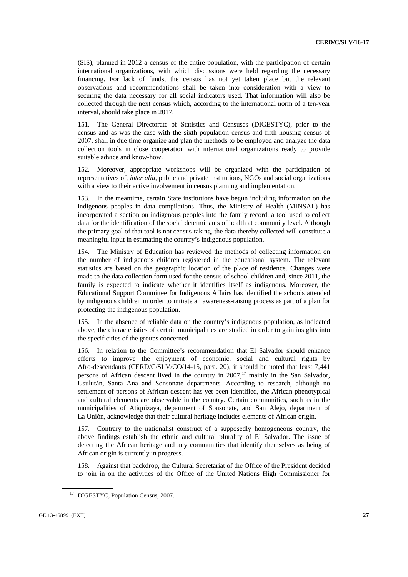(SIS), planned in 2012 a census of the entire population, with the participation of certain international organizations, with which discussions were held regarding the necessary financing. For lack of funds, the census has not yet taken place but the relevant observations and recommendations shall be taken into consideration with a view to securing the data necessary for all social indicators used. That information will also be collected through the next census which, according to the international norm of a ten-year interval, should take place in 2017.

151. The General Directorate of Statistics and Censuses (DIGESTYC), prior to the census and as was the case with the sixth population census and fifth housing census of 2007, shall in due time organize and plan the methods to be employed and analyze the data collection tools in close cooperation with international organizations ready to provide suitable advice and know-how.

152. Moreover, appropriate workshops will be organized with the participation of representatives of, *inter alia*, public and private institutions, NGOs and social organizations with a view to their active involvement in census planning and implementation.

153. In the meantime, certain State institutions have begun including information on the indigenous peoples in data compilations. Thus, the Ministry of Health (MINSAL) has incorporated a section on indigenous peoples into the family record, a tool used to collect data for the identification of the social determinants of health at community level. Although the primary goal of that tool is not census-taking, the data thereby collected will constitute a meaningful input in estimating the country's indigenous population.

154. The Ministry of Education has reviewed the methods of collecting information on the number of indigenous children registered in the educational system. The relevant statistics are based on the geographic location of the place of residence. Changes were made to the data collection form used for the census of school children and, since 2011, the family is expected to indicate whether it identifies itself as indigenous. Moreover, the Educational Support Committee for Indigenous Affairs has identified the schools attended by indigenous children in order to initiate an awareness-raising process as part of a plan for protecting the indigenous population.

155. In the absence of reliable data on the country's indigenous population, as indicated above, the characteristics of certain municipalities are studied in order to gain insights into the specificities of the groups concerned.

156. In relation to the Committee's recommendation that El Salvador should enhance efforts to improve the enjoyment of economic, social and cultural rights by Afro-descendants (CERD/C/SLV/CO/14-15, para. 20), it should be noted that least 7,441 persons of African descent lived in the country in  $2007$ ,<sup>17</sup> mainly in the San Salvador, Usulután, Santa Ana and Sonsonate departments. According to research, although no settlement of persons of African descent has yet been identified, the African phenotypical and cultural elements are observable in the country. Certain communities, such as in the municipalities of Atiquizaya, department of Sonsonate, and San Alejo, department of La Unión, acknowledge that their cultural heritage includes elements of African origin.

157. Contrary to the nationalist construct of a supposedly homogeneous country, the above findings establish the ethnic and cultural plurality of El Salvador. The issue of detecting the African heritage and any communities that identify themselves as being of African origin is currently in progress.

158. Against that backdrop, the Cultural Secretariat of the Office of the President decided to join in on the activities of the Office of the United Nations High Commissioner for

<sup>&</sup>lt;sup>17</sup> DIGESTYC, Population Census, 2007.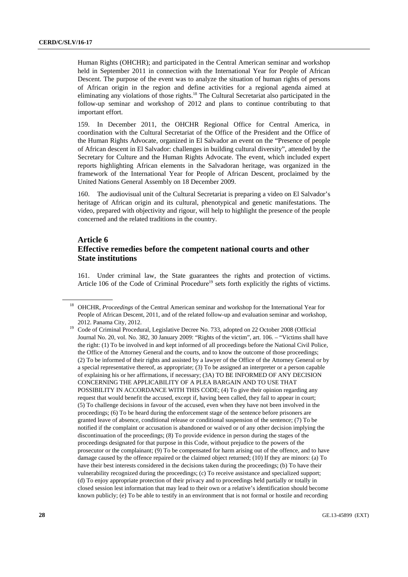Human Rights (OHCHR); and participated in the Central American seminar and workshop held in September 2011 in connection with the International Year for People of African Descent. The purpose of the event was to analyze the situation of human rights of persons of African origin in the region and define activities for a regional agenda aimed at eliminating any violations of those rights.18 The Cultural Secretariat also participated in the follow-up seminar and workshop of 2012 and plans to continue contributing to that important effort.

159. In December 2011, the OHCHR Regional Office for Central America, in coordination with the Cultural Secretariat of the Office of the President and the Office of the Human Rights Advocate, organized in El Salvador an event on the "Presence of people of African descent in El Salvador: challenges in building cultural diversity", attended by the Secretary for Culture and the Human Rights Advocate. The event, which included expert reports highlighting African elements in the Salvadoran heritage, was organized in the framework of the International Year for People of African Descent, proclaimed by the United Nations General Assembly on 18 December 2009.

160. The audiovisual unit of the Cultural Secretariat is preparing a video on El Salvador's heritage of African origin and its cultural, phenotypical and genetic manifestations. The video, prepared with objectivity and rigour, will help to highlight the presence of the people concerned and the related traditions in the country.

## **Article 6 Effective remedies before the competent national courts and other State institutions**

161. Under criminal law, the State guarantees the rights and protection of victims. Article 106 of the Code of Criminal Procedure<sup>19</sup> sets forth explicitly the rights of victims.

<sup>&</sup>lt;sup>18</sup> OHCHR, *Proceedings* of the Central American seminar and workshop for the International Year for People of African Descent, 2011, and of the related follow-up and evaluation seminar and workshop,

<sup>2012.</sup> Panama City, 2012. 19 Code of Criminal Procedural, Legislative Decree No. 733, adopted on 22 October 2008 (Official Journal No. 20, vol. No. 382, 30 January 2009: "Rights of the victim", art. 106. – "Victims shall have the right: (1) To be involved in and kept informed of all proceedings before the National Civil Police, the Office of the Attorney General and the courts, and to know the outcome of those proceedings; (2) To be informed of their rights and assisted by a lawyer of the Office of the Attorney General or by a special representative thereof, as appropriate; (3) To be assigned an interpreter or a person capable of explaining his or her affirmations, if necessary; (3A) TO BE INFORMED OF ANY DECISION CONCERNING THE APPLICABILITY OF A PLEA BARGAIN AND TO USE THAT POSSIBILITY IN ACCORDANCE WITH THIS CODE; (4) To give their opinion regarding any request that would benefit the accused, except if, having been called, they fail to appear in court; (5) To challenge decisions in favour of the accused, even when they have not been involved in the proceedings; (6) To be heard during the enforcement stage of the sentence before prisoners are granted leave of absence, conditional release or conditional suspension of the sentence; (7) To be notified if the complaint or accusation is abandoned or waived or of any other decision implying the discontinuation of the proceedings; (8) To provide evidence in person during the stages of the proceedings designated for that purpose in this Code, without prejudice to the powers of the prosecutor or the complainant; (9) To be compensated for harm arising out of the offence, and to have damage caused by the offence repaired or the claimed object returned; (10) If they are minors: (a) To have their best interests considered in the decisions taken during the proceedings; (b) To have their vulnerability recognized during the proceedings; (c) To receive assistance and specialized support; (d) To enjoy appropriate protection of their privacy and to proceedings held partially or totally in closed session lest information that may lead to their own or a relative's identification should become known publicly; (e) To be able to testify in an environment that is not formal or hostile and recording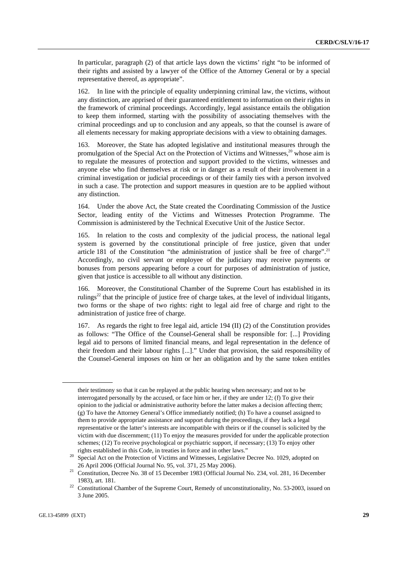In particular, paragraph (2) of that article lays down the victims' right "to be informed of their rights and assisted by a lawyer of the Office of the Attorney General or by a special representative thereof, as appropriate".

162. In line with the principle of equality underpinning criminal law, the victims, without any distinction, are apprised of their guaranteed entitlement to information on their rights in the framework of criminal proceedings. Accordingly, legal assistance entails the obligation to keep them informed, starting with the possibility of associating themselves with the criminal proceedings and up to conclusion and any appeals, so that the counsel is aware of all elements necessary for making appropriate decisions with a view to obtaining damages.

163. Moreover, the State has adopted legislative and institutional measures through the promulgation of the Special Act on the Protection of Victims and Witnesses, $^{20}$  whose aim is to regulate the measures of protection and support provided to the victims, witnesses and anyone else who find themselves at risk or in danger as a result of their involvement in a criminal investigation or judicial proceedings or of their family ties with a person involved in such a case. The protection and support measures in question are to be applied without any distinction.

164. Under the above Act, the State created the Coordinating Commission of the Justice Sector, leading entity of the Victims and Witnesses Protection Programme. The Commission is administered by the Technical Executive Unit of the Justice Sector.

165. In relation to the costs and complexity of the judicial process, the national legal system is governed by the constitutional principle of free justice, given that under article 181 of the Constitution "the administration of justice shall be free of charge".<sup>21</sup> Accordingly, no civil servant or employee of the judiciary may receive payments or bonuses from persons appearing before a court for purposes of administration of justice, given that justice is accessible to all without any distinction.

166. Moreover, the Constitutional Chamber of the Supreme Court has established in its rulings<sup>22</sup> that the principle of justice free of charge takes, at the level of individual litigants, two forms or the shape of two rights: right to legal aid free of charge and right to the administration of justice free of charge.

167. As regards the right to free legal aid, article 194 (II) (2) of the Constitution provides as follows: "The Office of the Counsel-General shall be responsible for: [...] Providing legal aid to persons of limited financial means, and legal representation in the defence of their freedom and their labour rights [...]." Under that provision, the said responsibility of the Counsel-General imposes on him or her an obligation and by the same token entitles

their testimony so that it can be replayed at the public hearing when necessary; and not to be interrogated personally by the accused, or face him or her, if they are under 12; (f) To give their opinion to the judicial or administrative authority before the latter makes a decision affecting them; (g) To have the Attorney General's Office immediately notified; (h) To have a counsel assigned to them to provide appropriate assistance and support during the proceedings, if they lack a legal representative or the latter's interests are incompatible with theirs or if the counsel is solicited by the victim with due discernment; (11) To enjoy the measures provided for under the applicable protection schemes; (12) To receive psychological or psychiatric support, if necessary; (13) To enjoy other

rights established in this Code, in treaties in force and in other laws."<br>Special Act on the Protection of Victims and Witnesses, Legislative Decree No. 1029, adopted on 26 April 2006 (Official Journal No. 95, vol. 371, 25 May 2006). 21 Constitution, Decree No. 38 of 15 December 1983 (Official Journal No. 234, vol. 281, 16 December

<sup>1983),</sup> art. 181.<br><sup>22</sup> Constitutional Chamber of the Supreme Court, Remedy of unconstitutionality, No. 53-2003, issued on 3 June 2005.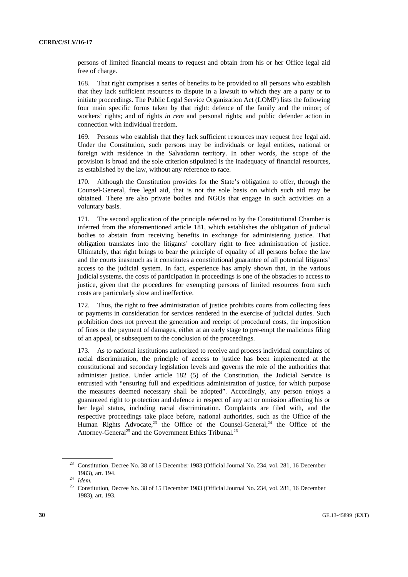persons of limited financial means to request and obtain from his or her Office legal aid free of charge.

168. That right comprises a series of benefits to be provided to all persons who establish that they lack sufficient resources to dispute in a lawsuit to which they are a party or to initiate proceedings. The Public Legal Service Organization Act (LOMP) lists the following four main specific forms taken by that right: defence of the family and the minor; of workers' rights; and of rights *in rem* and personal rights; and public defender action in connection with individual freedom.

169. Persons who establish that they lack sufficient resources may request free legal aid. Under the Constitution, such persons may be individuals or legal entities, national or foreign with residence in the Salvadoran territory. In other words, the scope of the provision is broad and the sole criterion stipulated is the inadequacy of financial resources, as established by the law, without any reference to race.

170. Although the Constitution provides for the State's obligation to offer, through the Counsel-General, free legal aid, that is not the sole basis on which such aid may be obtained. There are also private bodies and NGOs that engage in such activities on a voluntary basis.

171. The second application of the principle referred to by the Constitutional Chamber is inferred from the aforementioned article 181, which establishes the obligation of judicial bodies to abstain from receiving benefits in exchange for administering justice. That obligation translates into the litigants' corollary right to free administration of justice. Ultimately, that right brings to bear the principle of equality of all persons before the law and the courts inasmuch as it constitutes a constitutional guarantee of all potential litigants' access to the judicial system. In fact, experience has amply shown that, in the various judicial systems, the costs of participation in proceedings is one of the obstacles to access to justice, given that the procedures for exempting persons of limited resources from such costs are particularly slow and ineffective.

172. Thus, the right to free administration of justice prohibits courts from collecting fees or payments in consideration for services rendered in the exercise of judicial duties. Such prohibition does not prevent the generation and receipt of procedural costs, the imposition of fines or the payment of damages, either at an early stage to pre-empt the malicious filing of an appeal, or subsequent to the conclusion of the proceedings.

173. As to national institutions authorized to receive and process individual complaints of racial discrimination, the principle of access to justice has been implemented at the constitutional and secondary legislation levels and governs the role of the authorities that administer justice. Under article 182 (5) of the Constitution, the Judicial Service is entrusted with "ensuring full and expeditious administration of justice, for which purpose the measures deemed necessary shall be adopted". Accordingly, any person enjoys a guaranteed right to protection and defence in respect of any act or omission affecting his or her legal status, including racial discrimination. Complaints are filed with, and the respective proceedings take place before, national authorities, such as the Office of the Human Rights Advocate,<sup>23</sup> the Office of the Counsel-General,<sup>24</sup> the Office of the Attorney-General<sup>25</sup> and the Government Ethics Tribunal.<sup>26</sup>

<sup>&</sup>lt;sup>23</sup> Constitution, Decree No. 38 of 15 December 1983 (Official Journal No. 234, vol. 281, 16 December 1983), art. 194. 24 *Idem.*

<sup>&</sup>lt;sup>25</sup> Constitution, Decree No. 38 of 15 December 1983 (Official Journal No. 234, vol. 281, 16 December 1983), art. 193.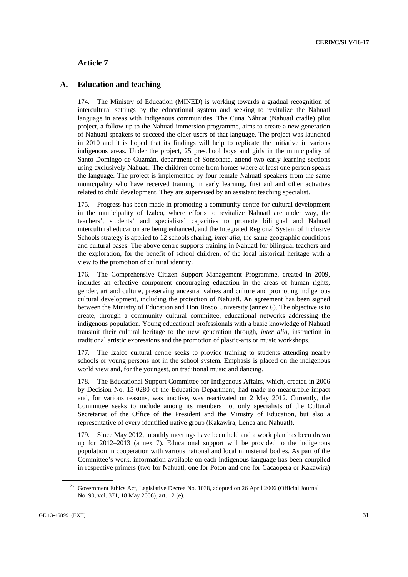## **Article 7**

#### **A. Education and teaching**

174. The Ministry of Education (MINED) is working towards a gradual recognition of intercultural settings by the educational system and seeking to revitalize the Nahuatl language in areas with indigenous communities. The Cuna Náhuat (Nahuatl cradle) pilot project, a follow-up to the Nahuatl immersion programme, aims to create a new generation of Nahuatl speakers to succeed the older users of that language. The project was launched in 2010 and it is hoped that its findings will help to replicate the initiative in various indigenous areas. Under the project, 25 preschool boys and girls in the municipality of Santo Domingo de Guzmán, department of Sonsonate, attend two early learning sections using exclusively Nahuatl. The children come from homes where at least one person speaks the language. The project is implemented by four female Nahuatl speakers from the same municipality who have received training in early learning, first aid and other activities related to child development. They are supervised by an assistant teaching specialist.

175. Progress has been made in promoting a community centre for cultural development in the municipality of Izalco, where efforts to revitalize Nahuatl are under way, the teachers', students' and specialists' capacities to promote bilingual and Nahuatl intercultural education are being enhanced, and the Integrated Regional System of Inclusive Schools strategy is applied to 12 schools sharing, *inter alia*, the same geographic conditions and cultural bases. The above centre supports training in Nahuatl for bilingual teachers and the exploration, for the benefit of school children, of the local historical heritage with a view to the promotion of cultural identity.

176. The Comprehensive Citizen Support Management Programme, created in 2009, includes an effective component encouraging education in the areas of human rights, gender, art and culture, preserving ancestral values and culture and promoting indigenous cultural development, including the protection of Nahuatl. An agreement has been signed between the Ministry of Education and Don Bosco University (annex 6). The objective is to create, through a community cultural committee, educational networks addressing the indigenous population. Young educational professionals with a basic knowledge of Nahuatl transmit their cultural heritage to the new generation through, *inter alia*, instruction in traditional artistic expressions and the promotion of plastic-arts or music workshops.

177. The Izalco cultural centre seeks to provide training to students attending nearby schools or young persons not in the school system. Emphasis is placed on the indigenous world view and, for the youngest, on traditional music and dancing.

178. The Educational Support Committee for Indigenous Affairs, which, created in 2006 by Decision No. 15-0280 of the Education Department, had made no measurable impact and, for various reasons, was inactive, was reactivated on 2 May 2012. Currently, the Committee seeks to include among its members not only specialists of the Cultural Secretariat of the Office of the President and the Ministry of Education, but also a representative of every identified native group (Kakawira, Lenca and Nahuatl).

179. Since May 2012, monthly meetings have been held and a work plan has been drawn up for 2012–2013 (annex 7). Educational support will be provided to the indigenous population in cooperation with various national and local ministerial bodies. As part of the Committee's work, information available on each indigenous language has been compiled in respective primers (two for Nahuatl, one for Potón and one for Cacaopera or Kakawira)

<sup>&</sup>lt;sup>26</sup> Government Ethics Act, Legislative Decree No. 1038, adopted on 26 April 2006 (Official Journal No. 90, vol. 371, 18 May 2006), art. 12 (e).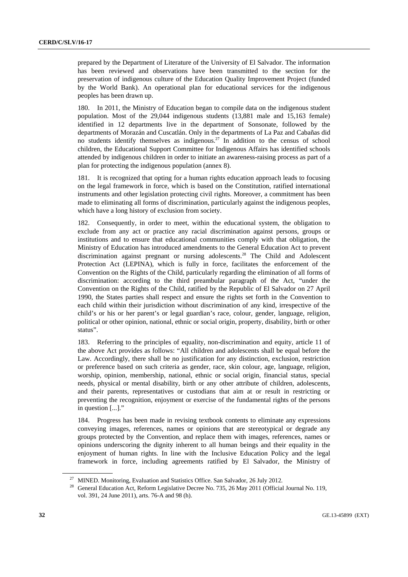prepared by the Department of Literature of the University of El Salvador. The information has been reviewed and observations have been transmitted to the section for the preservation of indigenous culture of the Education Quality Improvement Project (funded by the World Bank). An operational plan for educational services for the indigenous peoples has been drawn up.

180. In 2011, the Ministry of Education began to compile data on the indigenous student population. Most of the 29,044 indigenous students (13,881 male and 15,163 female) identified in 12 departments live in the department of Sonsonate, followed by the departments of Morazán and Cuscatlán. Only in the departments of La Paz and Cabañas did no students identify themselves as indigenous.<sup>27</sup> In addition to the census of school children, the Educational Support Committee for Indigenous Affairs has identified schools attended by indigenous children in order to initiate an awareness-raising process as part of a plan for protecting the indigenous population (annex 8).

181. It is recognized that opting for a human rights education approach leads to focusing on the legal framework in force, which is based on the Constitution, ratified international instruments and other legislation protecting civil rights. Moreover, a commitment has been made to eliminating all forms of discrimination, particularly against the indigenous peoples, which have a long history of exclusion from society.

182. Consequently, in order to meet, within the educational system, the obligation to exclude from any act or practice any racial discrimination against persons, groups or institutions and to ensure that educational communities comply with that obligation, the Ministry of Education has introduced amendments to the General Education Act to prevent discrimination against pregnant or nursing adolescents.28 The Child and Adolescent Protection Act (LEPINA), which is fully in force, facilitates the enforcement of the Convention on the Rights of the Child, particularly regarding the elimination of all forms of discrimination: according to the third preambular paragraph of the Act, "under the Convention on the Rights of the Child, ratified by the Republic of El Salvador on 27 April 1990, the States parties shall respect and ensure the rights set forth in the Convention to each child within their jurisdiction without discrimination of any kind, irrespective of the child's or his or her parent's or legal guardian's race, colour, gender, language, religion, political or other opinion, national, ethnic or social origin, property, disability, birth or other status".

183. Referring to the principles of equality, non-discrimination and equity, article 11 of the above Act provides as follows: "All children and adolescents shall be equal before the Law. Accordingly, there shall be no justification for any distinction, exclusion, restriction or preference based on such criteria as gender, race, skin colour, age, language, religion, worship, opinion, membership, national, ethnic or social origin, financial status, special needs, physical or mental disability, birth or any other attribute of children, adolescents, and their parents, representatives or custodians that aim at or result in restricting or preventing the recognition, enjoyment or exercise of the fundamental rights of the persons in question [...]."

184. Progress has been made in revising textbook contents to eliminate any expressions conveying images, references, names or opinions that are stereotypical or degrade any groups protected by the Convention, and replace them with images, references, names or opinions underscoring the dignity inherent to all human beings and their equality in the enjoyment of human rights. In line with the Inclusive Education Policy and the legal framework in force, including agreements ratified by El Salvador, the Ministry of

<sup>&</sup>lt;sup>27</sup> MINED. Monitoring, Evaluation and Statistics Office. San Salvador, 26 July 2012.<br><sup>28</sup> General Education Act, Reform Legislative Decree No. 735, 26 May 2011 (Official Journal No. 119, vol. 391, 24 June 2011), arts. 76-A and 98 (h).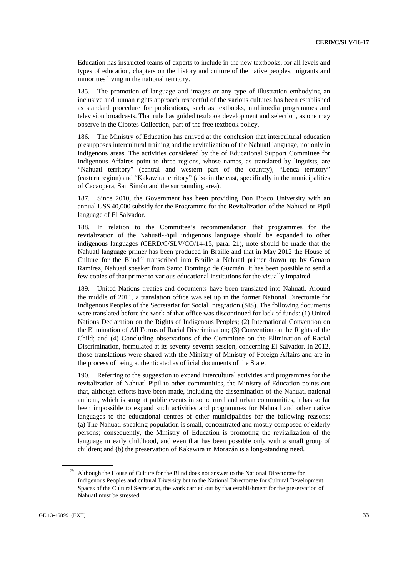Education has instructed teams of experts to include in the new textbooks, for all levels and types of education, chapters on the history and culture of the native peoples, migrants and minorities living in the national territory.

185. The promotion of language and images or any type of illustration embodying an inclusive and human rights approach respectful of the various cultures has been established as standard procedure for publications, such as textbooks, multimedia programmes and television broadcasts. That rule has guided textbook development and selection, as one may observe in the Cipotes Collection, part of the free textbook policy.

186. The Ministry of Education has arrived at the conclusion that intercultural education presupposes intercultural training and the revitalization of the Nahuatl language, not only in indigenous areas. The activities considered by the of Educational Support Committee for Indigenous Affaires point to three regions, whose names, as translated by linguists, are "Nahuatl territory" (central and western part of the country), "Lenca territory" (eastern region) and "Kakawira territory" (also in the east, specifically in the municipalities of Cacaopera, San Simón and the surrounding area).

187. Since 2010, the Government has been providing Don Bosco University with an annual US\$ 40,000 subsidy for the Programme for the Revitalization of the Nahuatl or Pipil language of El Salvador.

188. In relation to the Committee's recommendation that programmes for the revitalization of the Nahuatl-Pipil indigenous language should be expanded to other indigenous languages (CERD/C/SLV/CO/14-15, para. 21), note should be made that the Nahuatl language primer has been produced in Braille and that in May 2012 the House of Culture for the Blind<sup>29</sup> transcribed into Braille a Nahuatl primer drawn up by Genaro Ramírez, Nahuatl speaker from Santo Domingo de Guzmán. It has been possible to send a few copies of that primer to various educational institutions for the visually impaired.

189. United Nations treaties and documents have been translated into Nahuatl. Around the middle of 2011, a translation office was set up in the former National Directorate for Indigenous Peoples of the Secretariat for Social Integration (SIS). The following documents were translated before the work of that office was discontinued for lack of funds: (1) United Nations Declaration on the Rights of Indigenous Peoples; (2) International Convention on the Elimination of All Forms of Racial Discrimination; (3) Convention on the Rights of the Child; and (4) Concluding observations of the Committee on the Elimination of Racial Discrimination, formulated at its seventy-seventh session, concerning El Salvador. In 2012, those translations were shared with the Ministry of Ministry of Foreign Affairs and are in the process of being authenticated as official documents of the State.

190. Referring to the suggestion to expand intercultural activities and programmes for the revitalization of Nahuatl-Pipil to other communities, the Ministry of Education points out that, although efforts have been made, including the dissemination of the Nahuatl national anthem, which is sung at public events in some rural and urban communities, it has so far been impossible to expand such activities and programmes for Nahuatl and other native languages to the educational centres of other municipalities for the following reasons: (a) The Nahuatl-speaking population is small, concentrated and mostly composed of elderly persons; consequently, the Ministry of Education is promoting the revitalization of the language in early childhood, and even that has been possible only with a small group of children; and (b) the preservation of Kakawira in Morazán is a long-standing need.

Although the House of Culture for the Blind does not answer to the National Directorate for Indigenous Peoples and cultural Diversity but to the National Directorate for Cultural Development Spaces of the Cultural Secretariat, the work carried out by that establishment for the preservation of Nahuatl must be stressed.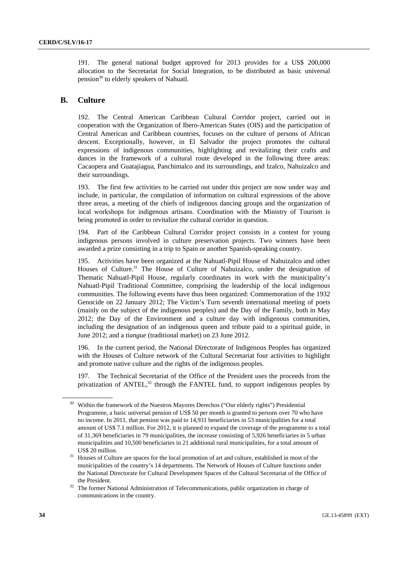191. The general national budget approved for 2013 provides for a US\$ 200,000 allocation to the Secretariat for Social Integration, to be distributed as basic universal pension<sup>30</sup> to elderly speakers of Nahuatl.

#### **B. Culture**

192. The Central American Caribbean Cultural Corridor project, carried out in cooperation with the Organization of Ibero-American States (OIS) and the participation of Central American and Caribbean countries, focuses on the culture of persons of African descent. Exceptionally, however, in El Salvador the project promotes the cultural expressions of indigenous communities, highlighting and revitalizing their crafts and dances in the framework of a cultural route developed in the following three areas: Cacaopera and Guatajiagua, Panchimalco and its surroundings, and Izalco, Nahuizalco and their surroundings.

193. The first few activities to be carried out under this project are now under way and include, in particular, the compilation of information on cultural expressions of the above three areas, a meeting of the chiefs of indigenous dancing groups and the organization of local workshops for indigenous artisans. Coordination with the Ministry of Tourism is being promoted in order to revitalize the cultural corridor in question.

194. Part of the Caribbean Cultural Corridor project consists in a contest for young indigenous persons involved in culture preservation projects. Two winners have been awarded a prize consisting in a trip to Spain or another Spanish-speaking country.

195. Activities have been organized at the Nahuatl-Pipil House of Nahuizalco and other Houses of Culture.<sup>31</sup> The House of Culture of Nahuizalco, under the designation of Thematic Nahuatl-Pipil House, regularly coordinates its work with the municipality's Nahuatl-Pipil Traditional Committee, comprising the leadership of the local indigenous communities. The following events have thus been organized: Commemoration of the 1932 Genocide on 22 January 2012; The Victim's Turn seventh international meeting of poets (mainly on the subject of the indigenous peoples) and the Day of the Family, both in May 2012; the Day of the Environment and a culture day with indigenous communities, including the designation of an indigenous queen and tribute paid to a spiritual guide, in June 2012; and a *tiangue* (traditional market) on 23 June 2012.

196. In the current period, the National Directorate of Indigenous Peoples has organized with the Houses of Culture network of the Cultural Secretariat four activities to highlight and promote native culture and the rights of the indigenous peoples.

197. The Technical Secretariat of the Office of the President uses the proceeds from the privatization of ANTEL,<sup>32</sup> through the FANTEL fund, to support indigenous peoples by

<sup>30</sup> Within the framework of the Nuestros Mayores Derechos ("Our elderly rights") Presidential Programme, a basic universal pension of US\$ 50 per month is granted to persons over 70 who have no income. In 2011, that pension was paid to 14,931 beneficiaries in 53 municipalities for a total amount of US\$ 7.1 million. For 2012, it is planned to expand the coverage of the programme to a total of 31,369 beneficiaries in 79 municipalities, the increase consisting of 5,926 beneficiaries in 5 urban municipalities and 10,500 beneficiaries in 21 additional rural municipalities, for a total amount of US\$ 20 million.<br><sup>31</sup> Houses of Culture are spaces for the local promotion of art and culture, established in most of the

municipalities of the country's 14 departments. The Network of Houses of Culture functions under the National Directorate for Cultural Development Spaces of the Cultural Secretariat of the Office of

the President.<br><sup>32</sup> The former National Administration of Telecommunications, public organization in charge of communications in the country.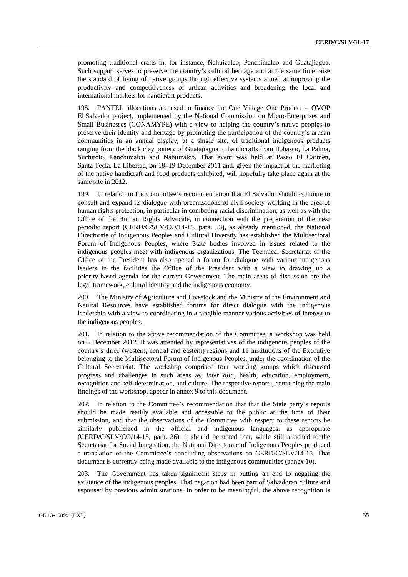promoting traditional crafts in, for instance, Nahuizalco, Panchimalco and Guatajiagua. Such support serves to preserve the country's cultural heritage and at the same time raise the standard of living of native groups through effective systems aimed at improving the productivity and competitiveness of artisan activities and broadening the local and international markets for handicraft products.

198. FANTEL allocations are used to finance the One Village One Product – OVOP El Salvador project, implemented by the National Commission on Micro-Enterprises and Small Businesses (CONAMYPE) with a view to helping the country's native peoples to preserve their identity and heritage by promoting the participation of the country's artisan communities in an annual display, at a single site, of traditional indigenous products ranging from the black clay pottery of Guatajiagua to handicrafts from Ilobasco, La Palma, Suchitoto, Panchimalco and Nahuizalco. That event was held at Paseo El Carmen, Santa Tecla, La Libertad, on 18–19 December 2011 and, given the impact of the marketing of the native handicraft and food products exhibited, will hopefully take place again at the same site in 2012.

199. In relation to the Committee's recommendation that El Salvador should continue to consult and expand its dialogue with organizations of civil society working in the area of human rights protection, in particular in combating racial discrimination, as well as with the Office of the Human Rights Advocate, in connection with the preparation of the next periodic report (CERD/C/SLV/CO/14-15, para. 23), as already mentioned, the National Directorate of Indigenous Peoples and Cultural Diversity has established the Multisectoral Forum of Indigenous Peoples, where State bodies involved in issues related to the indigenous peoples meet with indigenous organizations. The Technical Secretariat of the Office of the President has also opened a forum for dialogue with various indigenous leaders in the facilities the Office of the President with a view to drawing up a priority-based agenda for the current Government. The main areas of discussion are the legal framework, cultural identity and the indigenous economy.

200. The Ministry of Agriculture and Livestock and the Ministry of the Environment and Natural Resources have established forums for direct dialogue with the indigenous leadership with a view to coordinating in a tangible manner various activities of interest to the indigenous peoples.

201. In relation to the above recommendation of the Committee, a workshop was held on 5 December 2012. It was attended by representatives of the indigenous peoples of the country's three (western, central and eastern) regions and 11 institutions of the Executive belonging to the Multisectoral Forum of Indigenous Peoples, under the coordination of the Cultural Secretariat. The workshop comprised four working groups which discussed progress and challenges in such areas as, *inter alia*, health, education, employment, recognition and self-determination, and culture. The respective reports, containing the main findings of the workshop, appear in annex 9 to this document.

202. In relation to the Committee's recommendation that that the State party's reports should be made readily available and accessible to the public at the time of their submission, and that the observations of the Committee with respect to these reports be similarly publicized in the official and indigenous languages, as appropriate (CERD/C/SLV/CO/14-15, para. 26), it should be noted that, while still attached to the Secretariat for Social Integration, the National Directorate of Indigenous Peoples produced a translation of the Committee's concluding observations on CERD/C/SLV/14-15. That document is currently being made available to the indigenous communities (annex 10).

203. The Government has taken significant steps in putting an end to negating the existence of the indigenous peoples. That negation had been part of Salvadoran culture and espoused by previous administrations. In order to be meaningful, the above recognition is